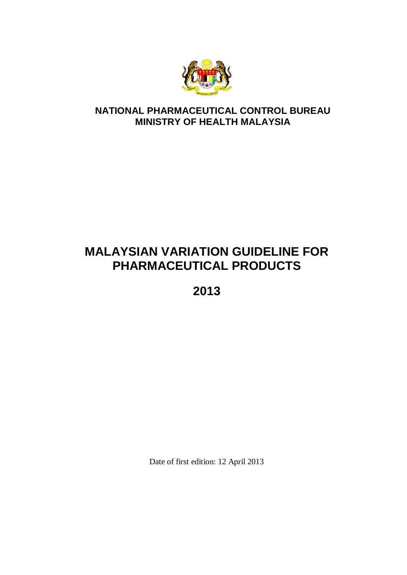

# **NATIONAL PHARMACEUTICAL CONTROL BUREAU MINISTRY OF HEALTH MALAYSIA**

# **MALAYSIAN VARIATION GUIDELINE FOR PHARMACEUTICAL PRODUCTS**

**2013**

Date of first edition: 12 April 2013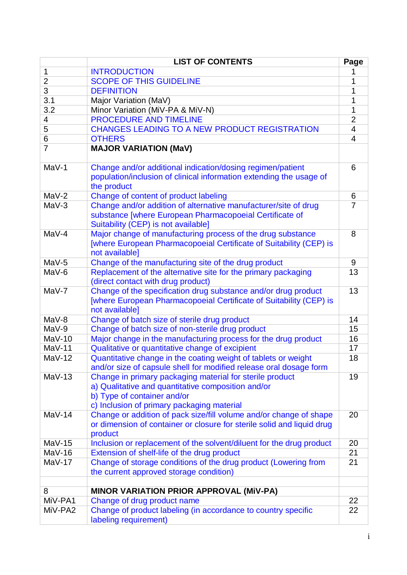|                    | <b>LIST OF CONTENTS</b>                                                                                                              |                |  |  |  |
|--------------------|--------------------------------------------------------------------------------------------------------------------------------------|----------------|--|--|--|
| 1                  | <b>INTRODUCTION</b>                                                                                                                  |                |  |  |  |
| $\overline{2}$     | <b>SCOPE OF THIS GUIDELINE</b>                                                                                                       |                |  |  |  |
| 3                  | <b>DEFINITION</b>                                                                                                                    |                |  |  |  |
| 3.1                | Major Variation (MaV)                                                                                                                | 1<br>1         |  |  |  |
| 3.2                | Minor Variation (MiV-PA & MiV-N)                                                                                                     |                |  |  |  |
| 4                  | <b>PROCEDURE AND TIMELINE</b>                                                                                                        | $\overline{2}$ |  |  |  |
| 5                  | <b>CHANGES LEADING TO A NEW PRODUCT REGISTRATION</b>                                                                                 | 4              |  |  |  |
| 6                  | <b>OTHERS</b>                                                                                                                        | $\overline{4}$ |  |  |  |
| $\overline{7}$     | <b>MAJOR VARIATION (MaV)</b>                                                                                                         |                |  |  |  |
|                    |                                                                                                                                      |                |  |  |  |
| MaV-1              | Change and/or additional indication/dosing regimen/patient                                                                           | 6              |  |  |  |
|                    | population/inclusion of clinical information extending the usage of<br>the product                                                   |                |  |  |  |
| $MaV-2$            | Change of content of product labeling                                                                                                | 6              |  |  |  |
| $MaV-3$            | Change and/or addition of alternative manufacturer/site of drug                                                                      | $\overline{7}$ |  |  |  |
|                    | substance [where European Pharmacopoeial Certificate of                                                                              |                |  |  |  |
|                    | Suitability (CEP) is not available]                                                                                                  |                |  |  |  |
| $MaV-4$            | Major change of manufacturing process of the drug substance                                                                          | 8              |  |  |  |
|                    | [where European Pharmacopoeial Certificate of Suitability (CEP) is                                                                   |                |  |  |  |
|                    | not available]                                                                                                                       |                |  |  |  |
| $MaV-5$            | Change of the manufacturing site of the drug product                                                                                 | 9              |  |  |  |
| MaV-6              | Replacement of the alternative site for the primary packaging                                                                        | 13             |  |  |  |
|                    | (direct contact with drug product)                                                                                                   |                |  |  |  |
| MaV-7              | Change of the specification drug substance and/or drug product                                                                       | 13             |  |  |  |
|                    | [where European Pharmacopoeial Certificate of Suitability (CEP) is                                                                   |                |  |  |  |
|                    | not available]                                                                                                                       |                |  |  |  |
| $MaV-8$            | Change of batch size of sterile drug product                                                                                         | 14             |  |  |  |
| MaV-9              | Change of batch size of non-sterile drug product                                                                                     | 15<br>16       |  |  |  |
| $MaV-10$           | Major change in the manufacturing process for the drug product                                                                       |                |  |  |  |
| $MaV-11$           | Qualitative or quantitative change of excipient                                                                                      |                |  |  |  |
| $MaV-12$           | Quantitative change in the coating weight of tablets or weight<br>and/or size of capsule shell for modified release oral dosage form | 18             |  |  |  |
| $MaV-13$           | Change in primary packaging material for sterile product                                                                             | 19             |  |  |  |
|                    | a) Qualitative and quantitative composition and/or                                                                                   |                |  |  |  |
|                    | b) Type of container and/or                                                                                                          |                |  |  |  |
|                    | c) Inclusion of primary packaging material                                                                                           |                |  |  |  |
| $MaV-14$           | Change or addition of pack size/fill volume and/or change of shape                                                                   | 20             |  |  |  |
|                    | or dimension of container or closure for sterile solid and liquid drug                                                               |                |  |  |  |
|                    | product                                                                                                                              |                |  |  |  |
| $MaV-15$           | Inclusion or replacement of the solvent/diluent for the drug product                                                                 | 20             |  |  |  |
| $MaV-16$           | Extension of shelf-life of the drug product                                                                                          | 21             |  |  |  |
| $MaV-17$           | Change of storage conditions of the drug product (Lowering from                                                                      | 21             |  |  |  |
|                    | the current approved storage condition)                                                                                              |                |  |  |  |
|                    |                                                                                                                                      |                |  |  |  |
| 8                  | <b>MINOR VARIATION PRIOR APPROVAL (MIV-PA)</b>                                                                                       |                |  |  |  |
| MiV-PA1<br>MiV-PA2 | Change of drug product name                                                                                                          | 22<br>22       |  |  |  |
|                    | Change of product labeling (in accordance to country specific<br>labeling requirement)                                               |                |  |  |  |
|                    |                                                                                                                                      |                |  |  |  |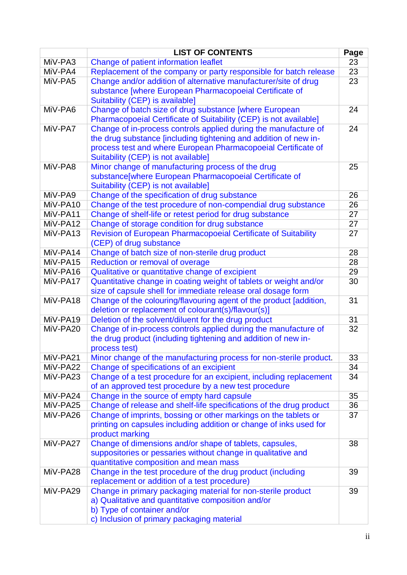|                      | <b>LIST OF CONTENTS</b>                                                            |          |  |  |  |
|----------------------|------------------------------------------------------------------------------------|----------|--|--|--|
| MiV-PA3              | Page<br>Change of patient information leaflet                                      |          |  |  |  |
| MiV-PA4              | Replacement of the company or party responsible for batch release                  | 23       |  |  |  |
| MiV-PA5              | Change and/or addition of alternative manufacturer/site of drug                    | 23       |  |  |  |
|                      | substance [where European Pharmacopoeial Certificate of                            |          |  |  |  |
|                      | Suitability (CEP) is available]                                                    |          |  |  |  |
| MiV-PA6              | Change of batch size of drug substance [where European                             | 24       |  |  |  |
|                      | Pharmacopoeial Certificate of Suitability (CEP) is not available]                  |          |  |  |  |
| MiV-PA7              | Change of in-process controls applied during the manufacture of                    | 24       |  |  |  |
|                      | the drug substance [including tightening and addition of new in-                   |          |  |  |  |
|                      | process test and where European Pharmacopoeial Certificate of                      |          |  |  |  |
|                      | Suitability (CEP) is not available]                                                |          |  |  |  |
| MiV-PA8              | Minor change of manufacturing process of the drug                                  | 25       |  |  |  |
|                      | substance[where European Pharmacopoeial Certificate of                             |          |  |  |  |
|                      | Suitability (CEP) is not available]                                                |          |  |  |  |
| MiV-PA9              | Change of the specification of drug substance                                      | 26       |  |  |  |
| MiV-PA10             | Change of the test procedure of non-compendial drug substance                      | 26       |  |  |  |
| MiV-PA11             | Change of shelf-life or retest period for drug substance                           | 27       |  |  |  |
| MiV-PA12             | Change of storage condition for drug substance                                     | 27       |  |  |  |
| MiV-PA13             | Revision of European Pharmacopoeial Certificate of Suitability                     | 27       |  |  |  |
|                      | (CEP) of drug substance                                                            |          |  |  |  |
| MiV-PA14<br>MiV-PA15 | Change of batch size of non-sterile drug product                                   | 28<br>28 |  |  |  |
| MiV-PA16             | Reduction or removal of overage<br>Qualitative or quantitative change of excipient | 29       |  |  |  |
| MiV-PA17             | Quantitative change in coating weight of tablets or weight and/or                  |          |  |  |  |
|                      | size of capsule shell for immediate release oral dosage form                       | 30       |  |  |  |
| MiV-PA18             | Change of the colouring/flavouring agent of the product [addition,                 | 31       |  |  |  |
|                      | deletion or replacement of colourant(s)/flavour(s)]                                |          |  |  |  |
| MiV-PA19             | Deletion of the solvent/diluent for the drug product                               | 31       |  |  |  |
| MiV-PA20             | Change of in-process controls applied during the manufacture of                    | 32       |  |  |  |
|                      | the drug product (including tightening and addition of new in-                     |          |  |  |  |
|                      | process test)                                                                      |          |  |  |  |
| MiV-PA21             | Minor change of the manufacturing process for non-sterile product.                 | 33       |  |  |  |
| MiV-PA22             | Change of specifications of an excipient                                           | 34       |  |  |  |
| MiV-PA23             | Change of a test procedure for an excipient, including replacement                 | 34       |  |  |  |
|                      | of an approved test procedure by a new test procedure                              |          |  |  |  |
| MiV-PA24             | Change in the source of empty hard capsule                                         | 35       |  |  |  |
| MiV-PA25             | Change of release and shelf-life specifications of the drug product                | 36       |  |  |  |
| MiV-PA26             | Change of imprints, bossing or other markings on the tablets or                    | 37       |  |  |  |
|                      | printing on capsules including addition or change of inks used for                 |          |  |  |  |
|                      | product marking                                                                    |          |  |  |  |
| MiV-PA27             | Change of dimensions and/or shape of tablets, capsules,                            | 38       |  |  |  |
|                      | suppositories or pessaries without change in qualitative and                       |          |  |  |  |
|                      | quantitative composition and mean mass                                             |          |  |  |  |
| MiV-PA28             | Change in the test procedure of the drug product (including                        | 39       |  |  |  |
|                      | replacement or addition of a test procedure)                                       |          |  |  |  |
| MiV-PA29             | Change in primary packaging material for non-sterile product                       | 39       |  |  |  |
|                      | a) Qualitative and quantitative composition and/or                                 |          |  |  |  |
|                      | b) Type of container and/or                                                        |          |  |  |  |
|                      | c) Inclusion of primary packaging material                                         |          |  |  |  |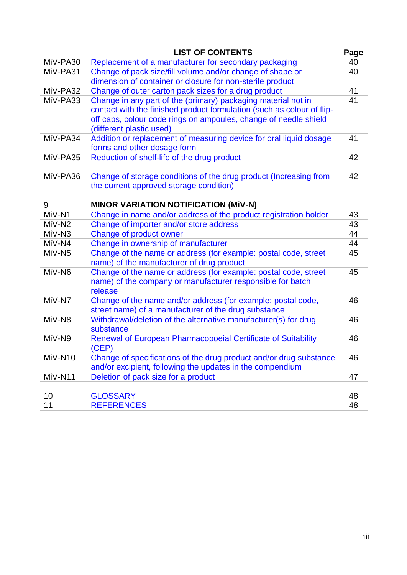|                    | <b>LIST OF CONTENTS</b>                                                                                                                                                                                                                 | Page |
|--------------------|-----------------------------------------------------------------------------------------------------------------------------------------------------------------------------------------------------------------------------------------|------|
| MiV-PA30           | Replacement of a manufacturer for secondary packaging                                                                                                                                                                                   | 40   |
| MiV-PA31           | Change of pack size/fill volume and/or change of shape or<br>dimension of container or closure for non-sterile product                                                                                                                  | 40   |
| MiV-PA32           | Change of outer carton pack sizes for a drug product                                                                                                                                                                                    | 41   |
| MiV-PA33           | Change in any part of the (primary) packaging material not in<br>contact with the finished product formulation (such as colour of flip-<br>off caps, colour code rings on ampoules, change of needle shield<br>(different plastic used) | 41   |
| MiV-PA34           | Addition or replacement of measuring device for oral liquid dosage<br>forms and other dosage form                                                                                                                                       | 41   |
| MiV-PA35           | Reduction of shelf-life of the drug product                                                                                                                                                                                             | 42   |
| MiV-PA36           | Change of storage conditions of the drug product (Increasing from<br>the current approved storage condition)                                                                                                                            | 42   |
| 9                  |                                                                                                                                                                                                                                         |      |
| MiV-N1             | <b>MINOR VARIATION NOTIFICATION (MIV-N)</b><br>Change in name and/or address of the product registration holder                                                                                                                         | 43   |
| MiV-N <sub>2</sub> | Change of importer and/or store address                                                                                                                                                                                                 | 43   |
| MiV-N3             | Change of product owner                                                                                                                                                                                                                 | 44   |
| MiV-N4             | Change in ownership of manufacturer                                                                                                                                                                                                     | 44   |
| MiV-N5             | Change of the name or address (for example: postal code, street<br>name) of the manufacturer of drug product                                                                                                                            | 45   |
| MiV-N6             | Change of the name or address (for example: postal code, street<br>name) of the company or manufacturer responsible for batch<br>release                                                                                                | 45   |
| MiV-N7             | Change of the name and/or address (for example: postal code,<br>street name) of a manufacturer of the drug substance                                                                                                                    | 46   |
| MiV-N8             | Withdrawal/deletion of the alternative manufacturer(s) for drug<br>substance                                                                                                                                                            | 46   |
| MiV-N9             | Renewal of European Pharmacopoeial Certificate of Suitability<br>(CEP)                                                                                                                                                                  | 46   |
| MiV-N10            | Change of specifications of the drug product and/or drug substance<br>and/or excipient, following the updates in the compendium                                                                                                         | 46   |
| MiV-N11            | Deletion of pack size for a product                                                                                                                                                                                                     | 47   |
|                    |                                                                                                                                                                                                                                         |      |
| 10                 | <b>GLOSSARY</b>                                                                                                                                                                                                                         | 48   |
| 11                 | <b>REFERENCES</b>                                                                                                                                                                                                                       | 48   |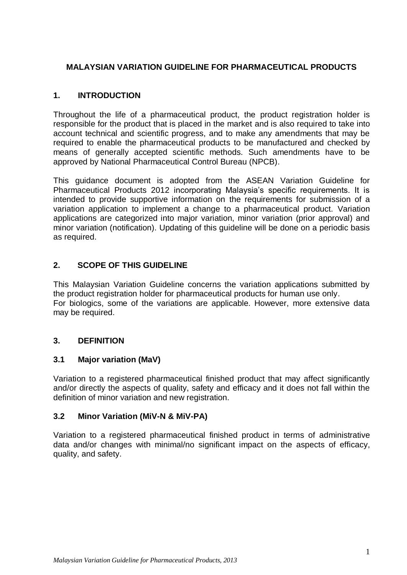## **MALAYSIAN VARIATION GUIDELINE FOR PHARMACEUTICAL PRODUCTS**

#### <span id="page-4-0"></span>**1. INTRODUCTION**

Throughout the life of a pharmaceutical product, the product registration holder is responsible for the product that is placed in the market and is also required to take into account technical and scientific progress, and to make any amendments that may be required to enable the pharmaceutical products to be manufactured and checked by means of generally accepted scientific methods. Such amendments have to be approved by National Pharmaceutical Control Bureau (NPCB).

This guidance document is adopted from the ASEAN Variation Guideline for Pharmaceutical Products 2012 incorporating Malaysia's specific requirements. It is intended to provide supportive information on the requirements for submission of a variation application to implement a change to a pharmaceutical product. Variation applications are categorized into major variation, minor variation (prior approval) and minor variation (notification). Updating of this guideline will be done on a periodic basis as required.

### **2. SCOPE OF THIS GUIDELINE**

This Malaysian Variation Guideline concerns the variation applications submitted by the product registration holder for pharmaceutical products for human use only. For biologics, some of the variations are applicable. However, more extensive data may be required.

#### **3. DEFINITION**

#### **3.1 Major variation (MaV)**

Variation to a registered pharmaceutical finished product that may affect significantly and/or directly the aspects of quality, safety and efficacy and it does not fall within the definition of minor variation and new registration.

#### **3.2 Minor Variation (MiV-N & MiV-PA)**

Variation to a registered pharmaceutical finished product in terms of administrative data and/or changes with minimal/no significant impact on the aspects of efficacy, quality, and safety.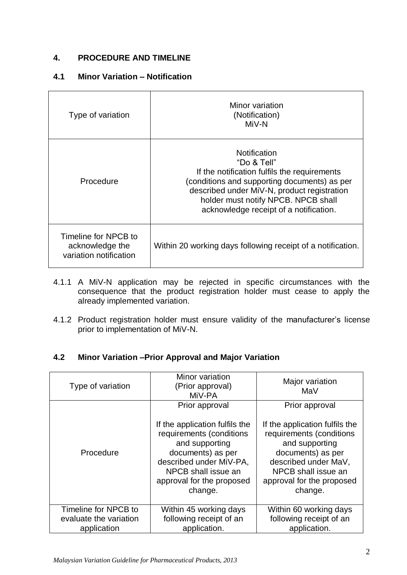### <span id="page-5-0"></span>**4. PROCEDURE AND TIMELINE**

#### **4.1 Minor Variation – Notification**

| Type of variation                                                 | Minor variation<br>(Notification)<br>MiV-N                                                                                                                                                                                                                  |
|-------------------------------------------------------------------|-------------------------------------------------------------------------------------------------------------------------------------------------------------------------------------------------------------------------------------------------------------|
| Procedure                                                         | Notification<br>"Do & Tell"<br>If the notification fulfils the requirements<br>(conditions and supporting documents) as per<br>described under MiV-N, product registration<br>holder must notify NPCB. NPCB shall<br>acknowledge receipt of a notification. |
| Timeline for NPCB to<br>acknowledge the<br>variation notification | Within 20 working days following receipt of a notification.                                                                                                                                                                                                 |

- 4.1.1 A MiV-N application may be rejected in specific circumstances with the consequence that the product registration holder must cease to apply the already implemented variation.
- 4.1.2 Product registration holder must ensure validity of the manufacturer's license prior to implementation of MiV-N.

#### **4.2 Minor Variation –Prior Approval and Major Variation**

| Type of variation      | Minor variation<br>(Prior approval)<br>MiV-PA                                                                                                                                               | Major variation<br>MaV                                                                                                                                                                   |
|------------------------|---------------------------------------------------------------------------------------------------------------------------------------------------------------------------------------------|------------------------------------------------------------------------------------------------------------------------------------------------------------------------------------------|
|                        | Prior approval                                                                                                                                                                              | Prior approval                                                                                                                                                                           |
| Procedure              | If the application fulfils the<br>requirements (conditions<br>and supporting<br>documents) as per<br>described under MiV-PA,<br>NPCB shall issue an<br>approval for the proposed<br>change. | If the application fulfils the<br>requirements (conditions<br>and supporting<br>documents) as per<br>described under MaV,<br>NPCB shall issue an<br>approval for the proposed<br>change. |
| Timeline for NPCB to   | Within 45 working days                                                                                                                                                                      | Within 60 working days                                                                                                                                                                   |
| evaluate the variation | following receipt of an                                                                                                                                                                     | following receipt of an                                                                                                                                                                  |
| application            | application.                                                                                                                                                                                | application.                                                                                                                                                                             |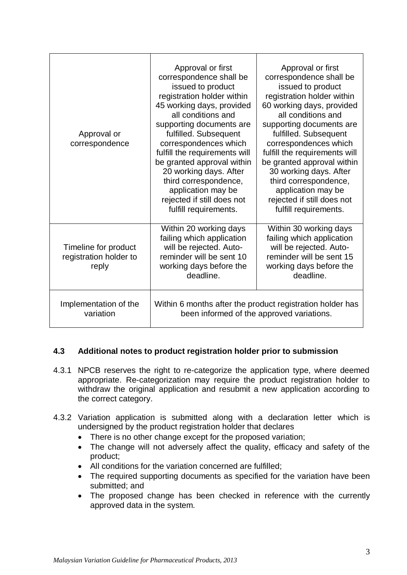| Approval or<br>correspondence                           | Approval or first<br>correspondence shall be<br>issued to product<br>registration holder within<br>45 working days, provided<br>all conditions and<br>supporting documents are<br>fulfilled. Subsequent<br>correspondences which<br>fulfill the requirements will<br>be granted approval within<br>20 working days. After<br>third correspondence,<br>application may be<br>rejected if still does not<br>fulfill requirements. | Approval or first<br>correspondence shall be<br>issued to product<br>registration holder within<br>60 working days, provided<br>all conditions and<br>supporting documents are<br>fulfilled. Subsequent<br>correspondences which<br>fulfill the requirements will<br>be granted approval within<br>30 working days. After<br>third correspondence,<br>application may be<br>rejected if still does not<br>fulfill requirements. |  |
|---------------------------------------------------------|---------------------------------------------------------------------------------------------------------------------------------------------------------------------------------------------------------------------------------------------------------------------------------------------------------------------------------------------------------------------------------------------------------------------------------|---------------------------------------------------------------------------------------------------------------------------------------------------------------------------------------------------------------------------------------------------------------------------------------------------------------------------------------------------------------------------------------------------------------------------------|--|
| Timeline for product<br>registration holder to<br>reply | Within 20 working days<br>failing which application<br>will be rejected. Auto-<br>reminder will be sent 10<br>working days before the<br>deadline.                                                                                                                                                                                                                                                                              | Within 30 working days<br>failing which application<br>will be rejected. Auto-<br>reminder will be sent 15<br>working days before the<br>deadline.                                                                                                                                                                                                                                                                              |  |
| Implementation of the<br>variation                      | Within 6 months after the product registration holder has<br>been informed of the approved variations.                                                                                                                                                                                                                                                                                                                          |                                                                                                                                                                                                                                                                                                                                                                                                                                 |  |

#### **4.3 Additional notes to product registration holder prior to submission**

- 4.3.1 NPCB reserves the right to re-categorize the application type, where deemed appropriate. Re-categorization may require the product registration holder to withdraw the original application and resubmit a new application according to the correct category.
- 4.3.2 Variation application is submitted along with a declaration letter which is undersigned by the product registration holder that declares
	- There is no other change except for the proposed variation;
	- The change will not adversely affect the quality, efficacy and safety of the product;
	- All conditions for the variation concerned are fulfilled;
	- The required supporting documents as specified for the variation have been submitted; and
	- The proposed change has been checked in reference with the currently approved data in the system.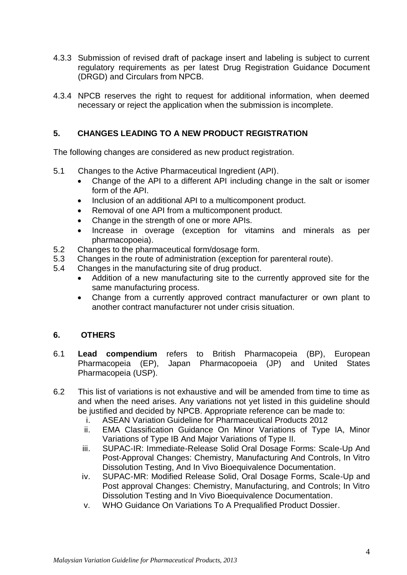- 4.3.3 Submission of revised draft of package insert and labeling is subject to current regulatory requirements as per latest Drug Registration Guidance Document (DRGD) and Circulars from NPCB.
- 4.3.4 NPCB reserves the right to request for additional information, when deemed necessary or reject the application when the submission is incomplete.

#### <span id="page-7-0"></span>**5. CHANGES LEADING TO A NEW PRODUCT REGISTRATION**

The following changes are considered as new product registration.

- 5.1 Changes to the Active Pharmaceutical Ingredient (API).
	- Change of the API to a different API including change in the salt or isomer form of the API.
	- Inclusion of an additional API to a multicomponent product.
	- Removal of one API from a multicomponent product.
	- Change in the strength of one or more APIs.
	- Increase in overage (exception for vitamins and minerals as per pharmacopoeia).
- 5.2 Changes to the pharmaceutical form/dosage form.
- 5.3 Changes in the route of administration (exception for parenteral route).
- 5.4 Changes in the manufacturing site of drug product.
	- Addition of a new manufacturing site to the currently approved site for the same manufacturing process.
	- Change from a currently approved contract manufacturer or own plant to another contract manufacturer not under crisis situation.

#### **6. OTHERS**

- 6.1 **Lead compendium** refers to British Pharmacopeia (BP), European Pharmacopeia (EP), Japan Pharmacopoeia (JP) and United States Pharmacopeia (USP).
- 6.2 This list of variations is not exhaustive and will be amended from time to time as and when the need arises. Any variations not yet listed in this guideline should be justified and decided by NPCB. Appropriate reference can be made to:
	- i. ASEAN Variation Guideline for Pharmaceutical Products 2012
	- ii. EMA Classification Guidance On Minor Variations of Type IA, Minor Variations of Type IB And Major Variations of Type II.
	- iii. SUPAC-IR: Immediate-Release Solid Oral Dosage Forms: Scale-Up And Post-Approval Changes: Chemistry, Manufacturing And Controls, In Vitro Dissolution Testing, And In Vivo Bioequivalence Documentation.
	- iv. SUPAC-MR: Modified Release Solid, Oral Dosage Forms, Scale-Up and Post approval Changes: Chemistry, Manufacturing, and Controls; In Vitro Dissolution Testing and In Vivo Bioequivalence Documentation.
	- v. WHO Guidance On Variations To A Prequalified Product Dossier.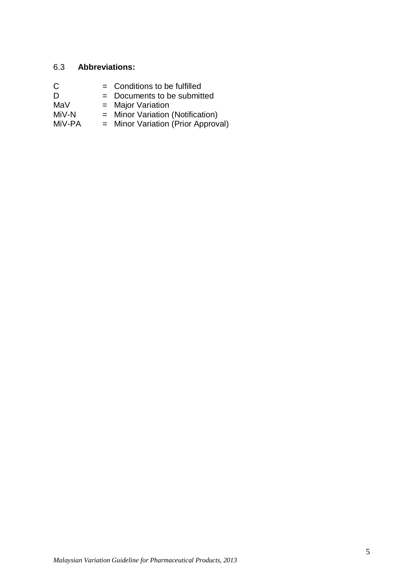#### 6.3 **Abbreviations:**

| Conditions to be fulfilled<br>U |
|---------------------------------|
|                                 |

- $D = Doc$  de submitted<br>MaV = Major Variation
- MaV = Major Variation<br>MiV-N = Minor Variation
- MiV-N = Minor Variation (Notification)
- MiV-PA = Minor Variation (Prior Approval)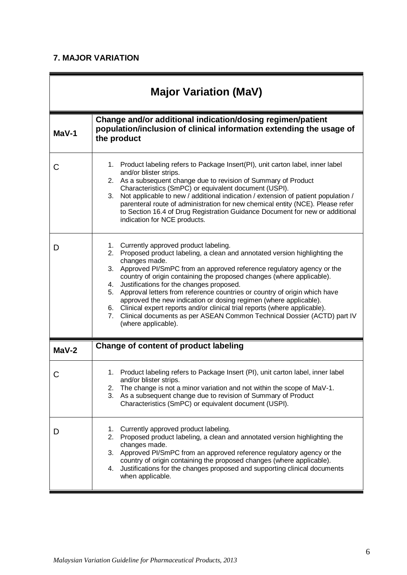# **7. MAJOR VARIATION**

<span id="page-9-1"></span><span id="page-9-0"></span>

| <b>Major Variation (MaV)</b> |                                                                                                                                                                                                                                                                                                                                                                                                                                                                                                                                                                                                                                                                                                         |  |  |  |
|------------------------------|---------------------------------------------------------------------------------------------------------------------------------------------------------------------------------------------------------------------------------------------------------------------------------------------------------------------------------------------------------------------------------------------------------------------------------------------------------------------------------------------------------------------------------------------------------------------------------------------------------------------------------------------------------------------------------------------------------|--|--|--|
| MaV-1                        | Change and/or additional indication/dosing regimen/patient<br>population/inclusion of clinical information extending the usage of<br>the product                                                                                                                                                                                                                                                                                                                                                                                                                                                                                                                                                        |  |  |  |
| C                            | 1. Product labeling refers to Package Insert(PI), unit carton label, inner label<br>and/or blister strips.<br>2. As a subsequent change due to revision of Summary of Product<br>Characteristics (SmPC) or equivalent document (USPI).<br>Not applicable to new / additional indication / extension of patient population /<br>3.<br>parenteral route of administration for new chemical entity (NCE). Please refer<br>to Section 16.4 of Drug Registration Guidance Document for new or additional<br>indication for NCE products.                                                                                                                                                                     |  |  |  |
| D                            | Currently approved product labeling.<br>1.<br>Proposed product labeling, a clean and annotated version highlighting the<br>2.<br>changes made.<br>3.<br>Approved PI/SmPC from an approved reference regulatory agency or the<br>country of origin containing the proposed changes (where applicable).<br>Justifications for the changes proposed.<br>4.<br>Approval letters from reference countries or country of origin which have<br>5.<br>approved the new indication or dosing regimen (where applicable).<br>6. Clinical expert reports and/or clinical trial reports (where applicable).<br>Clinical documents as per ASEAN Common Technical Dossier (ACTD) part IV<br>7.<br>(where applicable). |  |  |  |
| $Mav-2$                      | <b>Change of content of product labeling</b>                                                                                                                                                                                                                                                                                                                                                                                                                                                                                                                                                                                                                                                            |  |  |  |
| C                            | Product labeling refers to Package Insert (PI), unit carton label, inner label<br>1.<br>and/or blister strips.<br>The change is not a minor variation and not within the scope of MaV-1.<br>2.<br>As a subsequent change due to revision of Summary of Product<br>3.<br>Characteristics (SmPC) or equivalent document (USPI).                                                                                                                                                                                                                                                                                                                                                                           |  |  |  |
| D                            | Currently approved product labeling.<br>1.<br>Proposed product labeling, a clean and annotated version highlighting the<br>2.<br>changes made.<br>3.<br>Approved PI/SmPC from an approved reference regulatory agency or the<br>country of origin containing the proposed changes (where applicable).<br>Justifications for the changes proposed and supporting clinical documents<br>4.<br>when applicable.                                                                                                                                                                                                                                                                                            |  |  |  |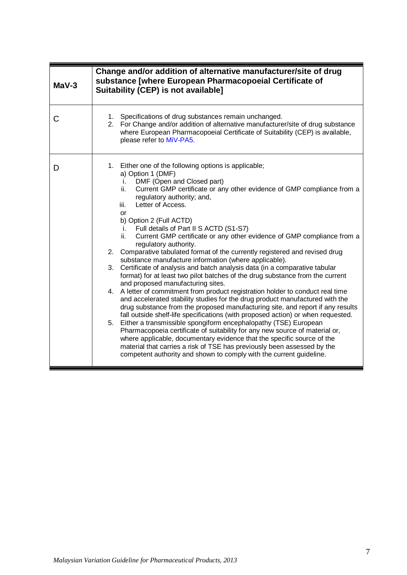<span id="page-10-0"></span>

| $Mav-3$ | Change and/or addition of alternative manufacturer/site of drug<br>substance [where European Pharmacopoeial Certificate of<br>Suitability (CEP) is not available]                                                                                                                                                                                                                                                                                                                                                                                                                                                                                                                                                                                                                                                                                                                                                                                                                                                                                                                                                                                                                                                                                                                                                                                                                                                                                                                                                                 |
|---------|-----------------------------------------------------------------------------------------------------------------------------------------------------------------------------------------------------------------------------------------------------------------------------------------------------------------------------------------------------------------------------------------------------------------------------------------------------------------------------------------------------------------------------------------------------------------------------------------------------------------------------------------------------------------------------------------------------------------------------------------------------------------------------------------------------------------------------------------------------------------------------------------------------------------------------------------------------------------------------------------------------------------------------------------------------------------------------------------------------------------------------------------------------------------------------------------------------------------------------------------------------------------------------------------------------------------------------------------------------------------------------------------------------------------------------------------------------------------------------------------------------------------------------------|
| С       | 1. Specifications of drug substances remain unchanged.<br>2. For Change and/or addition of alternative manufacturer/site of drug substance<br>where European Pharmacopoeial Certificate of Suitability (CEP) is available,<br>please refer to MiV-PA5.                                                                                                                                                                                                                                                                                                                                                                                                                                                                                                                                                                                                                                                                                                                                                                                                                                                                                                                                                                                                                                                                                                                                                                                                                                                                            |
| D       | 1. Either one of the following options is applicable;<br>a) Option 1 (DMF)<br>DMF (Open and Closed part)<br>i.<br>Current GMP certificate or any other evidence of GMP compliance from a<br>ii.<br>regulatory authority; and,<br>Letter of Access.<br>iii.<br>or<br>b) Option 2 (Full ACTD)<br>Full details of Part II S ACTD (S1-S7)<br>i.<br>Current GMP certificate or any other evidence of GMP compliance from a<br>ii.<br>regulatory authority.<br>2. Comparative tabulated format of the currently registered and revised drug<br>substance manufacture information (where applicable).<br>3. Certificate of analysis and batch analysis data (in a comparative tabular<br>format) for at least two pilot batches of the drug substance from the current<br>and proposed manufacturing sites.<br>4. A letter of commitment from product registration holder to conduct real time<br>and accelerated stability studies for the drug product manufactured with the<br>drug substance from the proposed manufacturing site, and report if any results<br>fall outside shelf-life specifications (with proposed action) or when requested.<br>Either a transmissible spongiform encephalopathy (TSE) European<br>5.<br>Pharmacopoeia certificate of suitability for any new source of material or,<br>where applicable, documentary evidence that the specific source of the<br>material that carries a risk of TSE has previously been assessed by the<br>competent authority and shown to comply with the current guideline. |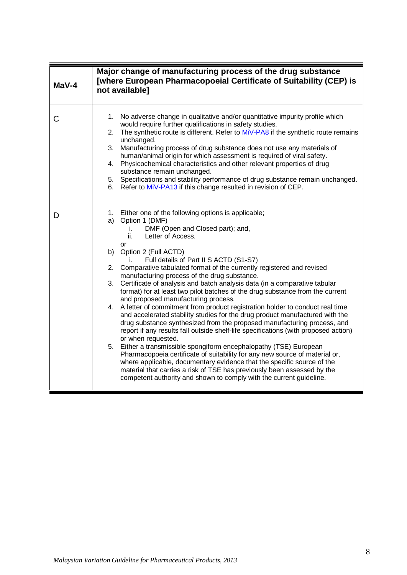<span id="page-11-0"></span>

| $Mav-4$ | Major change of manufacturing process of the drug substance<br>[where European Pharmacopoeial Certificate of Suitability (CEP) is<br>not available]                                                                                                                                                                                                                                                                                                                                                                                                                                                                                                                                                                                                                                                                                                                                                                                                                                                                                                                                                                                                                                                                                                                                                                 |  |  |  |
|---------|---------------------------------------------------------------------------------------------------------------------------------------------------------------------------------------------------------------------------------------------------------------------------------------------------------------------------------------------------------------------------------------------------------------------------------------------------------------------------------------------------------------------------------------------------------------------------------------------------------------------------------------------------------------------------------------------------------------------------------------------------------------------------------------------------------------------------------------------------------------------------------------------------------------------------------------------------------------------------------------------------------------------------------------------------------------------------------------------------------------------------------------------------------------------------------------------------------------------------------------------------------------------------------------------------------------------|--|--|--|
| C       | 1. No adverse change in qualitative and/or quantitative impurity profile which<br>would require further qualifications in safety studies.<br>The synthetic route is different. Refer to MiV-PA8 if the synthetic route remains<br>2.<br>unchanged.<br>3. Manufacturing process of drug substance does not use any materials of<br>human/animal origin for which assessment is required of viral safety.<br>4. Physicochemical characteristics and other relevant properties of drug<br>substance remain unchanged.<br>5. Specifications and stability performance of drug substance remain unchanged.<br>6. Refer to MiV-PA13 if this change resulted in revision of CEP.                                                                                                                                                                                                                                                                                                                                                                                                                                                                                                                                                                                                                                           |  |  |  |
| D       | 1. Either one of the following options is applicable;<br>a) Option 1 (DMF)<br>DMF (Open and Closed part); and,<br>İ.<br>Letter of Access.<br>ii.<br>or<br>b) Option 2 (Full ACTD)<br>Full details of Part II S ACTD (S1-S7)<br>İ.<br>2. Comparative tabulated format of the currently registered and revised<br>manufacturing process of the drug substance.<br>Certificate of analysis and batch analysis data (in a comparative tabular<br>3.<br>format) for at least two pilot batches of the drug substance from the current<br>and proposed manufacturing process.<br>4. A letter of commitment from product registration holder to conduct real time<br>and accelerated stability studies for the drug product manufactured with the<br>drug substance synthesized from the proposed manufacturing process, and<br>report if any results fall outside shelf-life specifications (with proposed action)<br>or when requested.<br>5. Either a transmissible spongiform encephalopathy (TSE) European<br>Pharmacopoeia certificate of suitability for any new source of material or,<br>where applicable, documentary evidence that the specific source of the<br>material that carries a risk of TSE has previously been assessed by the<br>competent authority and shown to comply with the current guideline. |  |  |  |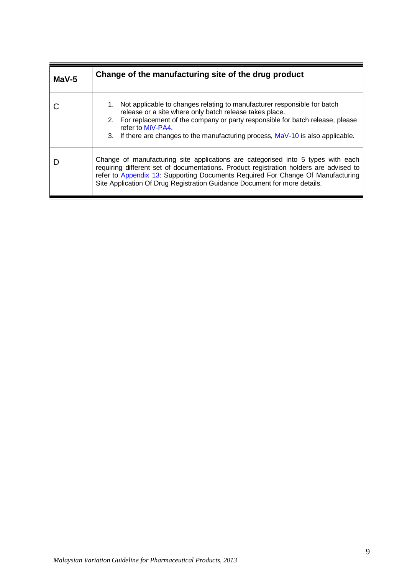<span id="page-12-0"></span>

| $Mav-5$ | Change of the manufacturing site of the drug product                                                                                                                                                                                                                                                                                       |
|---------|--------------------------------------------------------------------------------------------------------------------------------------------------------------------------------------------------------------------------------------------------------------------------------------------------------------------------------------------|
|         | Not applicable to changes relating to manufacturer responsible for batch<br>1.<br>release or a site where only batch release takes place.<br>2. For replacement of the company or party responsible for batch release, please<br>refer to MiV-PA4<br>3. If there are changes to the manufacturing process, MaV-10 is also applicable.      |
|         | Change of manufacturing site applications are categorised into 5 types with each<br>requiring different set of documentations. Product registration holders are advised to<br>refer to Appendix 13: Supporting Documents Required For Change Of Manufacturing<br>Site Application Of Drug Registration Guidance Document for more details. |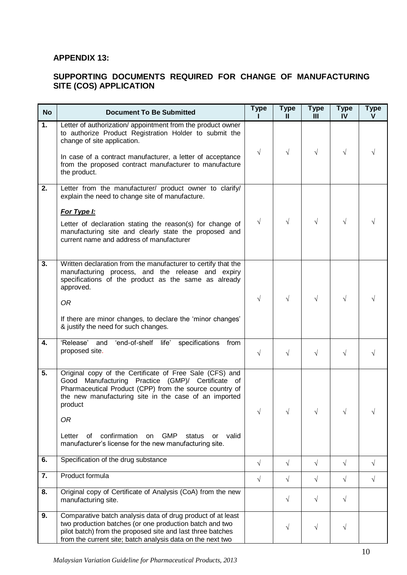#### <span id="page-13-0"></span>**APPENDIX 13:**

#### **SUPPORTING DOCUMENTS REQUIRED FOR CHANGE OF MANUFACTURING SITE (COS) APPLICATION**

| <b>No</b>        | <b>Document To Be Submitted</b>                                                                                                                                                                                                                                                                                                                                                          | <b>Type</b> | <b>Type</b><br>Ш | <b>Type</b><br>$\mathbf{III}$ | <b>Type</b><br>IV | <b>Type</b><br>v |
|------------------|------------------------------------------------------------------------------------------------------------------------------------------------------------------------------------------------------------------------------------------------------------------------------------------------------------------------------------------------------------------------------------------|-------------|------------------|-------------------------------|-------------------|------------------|
| 1.               | Letter of authorization/ appointment from the product owner<br>to authorize Product Registration Holder to submit the<br>change of site application.<br>In case of a contract manufacturer, a letter of acceptance<br>from the proposed contract manufacturer to manufacture<br>the product.                                                                                             | $\sqrt{}$   | $\sqrt{}$        | $\sqrt{}$                     | $\sqrt{}$         |                  |
| 2.               | Letter from the manufacturer/ product owner to clarify/<br>explain the need to change site of manufacture.<br>For Type I:<br>Letter of declaration stating the reason(s) for change of<br>manufacturing site and clearly state the proposed and<br>current name and address of manufacturer                                                                                              | $\sqrt{ }$  | $\sqrt{ }$       | $\sqrt{}$                     | $\sqrt{}$         |                  |
| 3.               | Written declaration from the manufacturer to certify that the<br>manufacturing process, and the release and expiry<br>specifications of the product as the same as already<br>approved.<br>0R<br>If there are minor changes, to declare the 'minor changes'<br>& justify the need for such changes.                                                                                      | $\sqrt{}$   | $\sqrt{ }$       | $\sqrt{ }$                    | $\sqrt{}$         |                  |
| 4.               | 'end-of-shelf life'<br>'Release'<br>specifications<br>and<br>from<br>proposed site.                                                                                                                                                                                                                                                                                                      | $\sqrt{}$   | $\sqrt{ }$       | $\sqrt{}$                     | $\sqrt{}$         |                  |
| $\overline{5}$ . | Original copy of the Certificate of Free Sale (CFS) and<br>Good Manufacturing Practice (GMP)/ Certificate of<br>Pharmaceutical Product (CPP) from the source country of<br>the new manufacturing site in the case of an imported<br>product<br>0R<br>confirmation<br><b>GMP</b><br>Letter<br>0f<br>status<br>valid<br>on<br>or<br>manufacturer's license for the new manufacturing site. |             |                  |                               |                   |                  |
| 6.               | Specification of the drug substance                                                                                                                                                                                                                                                                                                                                                      | $\sqrt{}$   | $\sqrt{ }$       | $\sqrt{}$                     | $\sqrt{}$         | $\sqrt{}$        |
| 7.               | Product formula                                                                                                                                                                                                                                                                                                                                                                          | $\sqrt{ }$  | $\sqrt{ }$       | $\sqrt{ }$                    | $\sqrt{}$         | $\sqrt{ }$       |
| 8.               | Original copy of Certificate of Analysis (CoA) from the new<br>manufacturing site.                                                                                                                                                                                                                                                                                                       |             | $\sqrt{ }$       | $\sqrt{ }$                    | $\sqrt{ }$        |                  |
| 9.               | Comparative batch analysis data of drug product of at least<br>two production batches (or one production batch and two<br>pilot batch) from the proposed site and last three batches<br>from the current site; batch analysis data on the next two                                                                                                                                       |             | $\sqrt{}$        | $\sqrt{}$                     | $\sqrt{}$         |                  |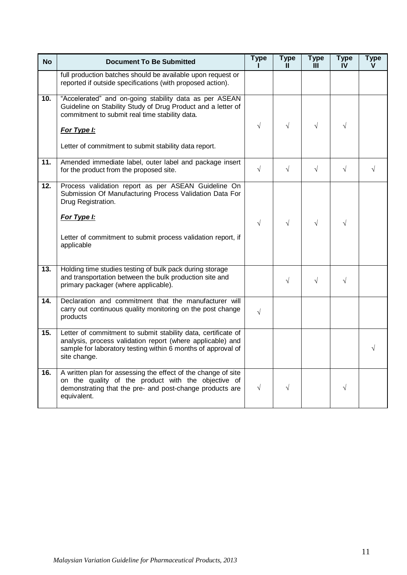| <b>No</b>         | <b>Document To Be Submitted</b>                                                                                                                                                                             | <b>Type</b> | <b>Type</b><br>Ш. | <b>Type</b><br>Ш | <b>Type</b><br>IV | <b>Type</b><br>v |
|-------------------|-------------------------------------------------------------------------------------------------------------------------------------------------------------------------------------------------------------|-------------|-------------------|------------------|-------------------|------------------|
|                   | full production batches should be available upon request or<br>reported if outside specifications (with proposed action).                                                                                   |             |                   |                  |                   |                  |
| 10.               | "Accelerated" and on-going stability data as per ASEAN<br>Guideline on Stability Study of Drug Product and a letter of<br>commitment to submit real time stability data.                                    |             |                   |                  |                   |                  |
|                   | For Type I:                                                                                                                                                                                                 | $\sqrt{ }$  | $\sqrt{ }$        | $\sqrt{ }$       | $\sqrt{}$         |                  |
|                   | Letter of commitment to submit stability data report.                                                                                                                                                       |             |                   |                  |                   |                  |
| 11.               | Amended immediate label, outer label and package insert<br>for the product from the proposed site.                                                                                                          | $\sqrt{}$   | $\sqrt{ }$        | $\sqrt{ }$       | $\sqrt{ }$        | $\sqrt{}$        |
| 12.               | Process validation report as per ASEAN Guideline On<br>Submission Of Manufacturing Process Validation Data For<br>Drug Registration.                                                                        |             |                   |                  |                   |                  |
|                   | For Type I:                                                                                                                                                                                                 | $\sqrt{ }$  | $\sqrt{ }$        | $\sqrt{ }$       | $\sqrt{}$         |                  |
|                   | Letter of commitment to submit process validation report, if<br>applicable                                                                                                                                  |             |                   |                  |                   |                  |
| $\overline{13}$ . | Holding time studies testing of bulk pack during storage<br>and transportation between the bulk production site and<br>primary packager (where applicable).                                                 |             | $\sqrt{ }$        | $\sqrt{ }$       | $\sqrt{ }$        |                  |
| 14.               | Declaration and commitment that the manufacturer will<br>carry out continuous quality monitoring on the post change<br>products                                                                             | $\sqrt{}$   |                   |                  |                   |                  |
| 15.               | Letter of commitment to submit stability data, certificate of<br>analysis, process validation report (where applicable) and<br>sample for laboratory testing within 6 months of approval of<br>site change. |             |                   |                  |                   |                  |
| 16.               | A written plan for assessing the effect of the change of site<br>on the quality of the product with the objective of<br>demonstrating that the pre- and post-change products are<br>equivalent.             | $\sqrt{ }$  | $\sqrt{}$         |                  | $\sqrt{}$         |                  |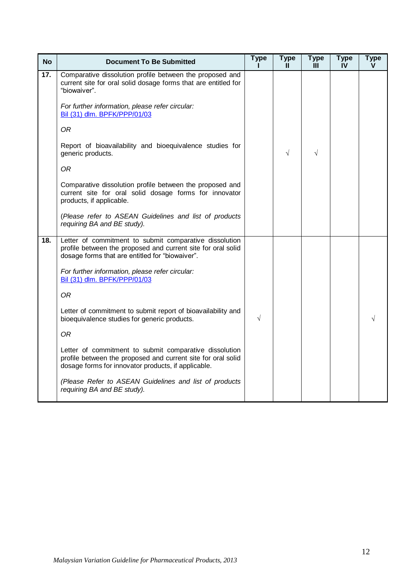| <b>No</b> | <b>Document To Be Submitted</b>                                                                                                                                               | <b>Type</b> | <b>Type</b><br>Ш | <b>Type</b><br>Ш | <b>Type</b><br>IV | <b>Type</b><br>v |
|-----------|-------------------------------------------------------------------------------------------------------------------------------------------------------------------------------|-------------|------------------|------------------|-------------------|------------------|
| 17.       | Comparative dissolution profile between the proposed and<br>current site for oral solid dosage forms that are entitled for<br>"biowaiver".                                    |             |                  |                  |                   |                  |
|           | For further information, please refer circular:<br>Bil (31) dlm. BPFK/PPP/01/03                                                                                               |             |                  |                  |                   |                  |
|           | <b>OR</b>                                                                                                                                                                     |             |                  |                  |                   |                  |
|           | Report of bioavailability and bioequivalence studies for<br>generic products.                                                                                                 |             | $\sqrt{ }$       | $\sqrt{}$        |                   |                  |
|           | 0R                                                                                                                                                                            |             |                  |                  |                   |                  |
|           | Comparative dissolution profile between the proposed and<br>current site for oral solid dosage forms for innovator<br>products, if applicable.                                |             |                  |                  |                   |                  |
|           | (Please refer to ASEAN Guidelines and list of products<br>requiring BA and BE study).                                                                                         |             |                  |                  |                   |                  |
| 18.       | Letter of commitment to submit comparative dissolution<br>profile between the proposed and current site for oral solid<br>dosage forms that are entitled for "biowaiver".     |             |                  |                  |                   |                  |
|           | For further information, please refer circular:<br>Bil (31) dlm. BPFK/PPP/01/03                                                                                               |             |                  |                  |                   |                  |
|           | 0 <sub>R</sub>                                                                                                                                                                |             |                  |                  |                   |                  |
|           | Letter of commitment to submit report of bioavailability and<br>bioequivalence studies for generic products.                                                                  | $\sqrt{}$   |                  |                  |                   |                  |
|           | 0R                                                                                                                                                                            |             |                  |                  |                   |                  |
|           | Letter of commitment to submit comparative dissolution<br>profile between the proposed and current site for oral solid<br>dosage forms for innovator products, if applicable. |             |                  |                  |                   |                  |
|           | (Please Refer to ASEAN Guidelines and list of products<br>requiring BA and BE study).                                                                                         |             |                  |                  |                   |                  |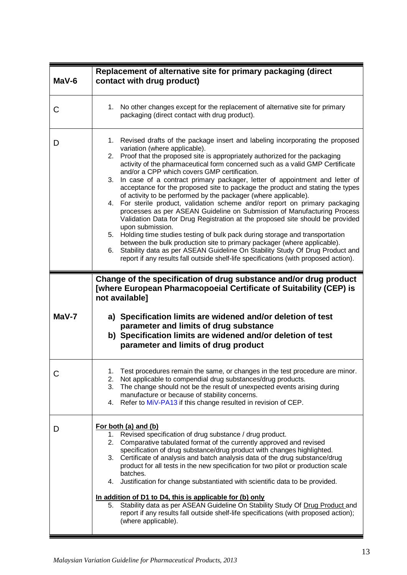<span id="page-16-1"></span><span id="page-16-0"></span>

| $Mav-6$ | Replacement of alternative site for primary packaging (direct<br>contact with drug product)                                                                                                                                                                                                                                                                                                                                                                                                                                                                                                                                                                                                                                                                                                                                                                                                                                                                                                                                                                                                                                                                                             |
|---------|-----------------------------------------------------------------------------------------------------------------------------------------------------------------------------------------------------------------------------------------------------------------------------------------------------------------------------------------------------------------------------------------------------------------------------------------------------------------------------------------------------------------------------------------------------------------------------------------------------------------------------------------------------------------------------------------------------------------------------------------------------------------------------------------------------------------------------------------------------------------------------------------------------------------------------------------------------------------------------------------------------------------------------------------------------------------------------------------------------------------------------------------------------------------------------------------|
| С       | 1. No other changes except for the replacement of alternative site for primary<br>packaging (direct contact with drug product).                                                                                                                                                                                                                                                                                                                                                                                                                                                                                                                                                                                                                                                                                                                                                                                                                                                                                                                                                                                                                                                         |
| D       | 1. Revised drafts of the package insert and labeling incorporating the proposed<br>variation (where applicable).<br>2. Proof that the proposed site is appropriately authorized for the packaging<br>activity of the pharmaceutical form concerned such as a valid GMP Certificate<br>and/or a CPP which covers GMP certification.<br>3. In case of a contract primary packager, letter of appointment and letter of<br>acceptance for the proposed site to package the product and stating the types<br>of activity to be performed by the packager (where applicable).<br>4. For sterile product, validation scheme and/or report on primary packaging<br>processes as per ASEAN Guideline on Submission of Manufacturing Process<br>Validation Data for Drug Registration at the proposed site should be provided<br>upon submission.<br>Holding time studies testing of bulk pack during storage and transportation<br>5.<br>between the bulk production site to primary packager (where applicable).<br>Stability data as per ASEAN Guideline On Stability Study Of Drug Product and<br>6.<br>report if any results fall outside shelf-life specifications (with proposed action). |
|         | Change of the specification of drug substance and/or drug product<br>[where European Pharmacopoeial Certificate of Suitability (CEP) is<br>not available]                                                                                                                                                                                                                                                                                                                                                                                                                                                                                                                                                                                                                                                                                                                                                                                                                                                                                                                                                                                                                               |
| $Mav-7$ | a) Specification limits are widened and/or deletion of test<br>parameter and limits of drug substance<br>b) Specification limits are widened and/or deletion of test<br>parameter and limits of drug product                                                                                                                                                                                                                                                                                                                                                                                                                                                                                                                                                                                                                                                                                                                                                                                                                                                                                                                                                                            |
| С       | 1. Test procedures remain the same, or changes in the test procedure are minor.<br>2. Not applicable to compendial drug substances/drug products.<br>The change should not be the result of unexpected events arising during<br>3.<br>manufacture or because of stability concerns.<br>Refer to MiV-PA13 if this change resulted in revision of CEP.<br>4.                                                                                                                                                                                                                                                                                                                                                                                                                                                                                                                                                                                                                                                                                                                                                                                                                              |
| D       | For both (a) and (b)<br>1. Revised specification of drug substance / drug product.<br>Comparative tabulated format of the currently approved and revised<br>2.<br>specification of drug substance/drug product with changes highlighted.<br>Certificate of analysis and batch analysis data of the drug substance/drug<br>3.<br>product for all tests in the new specification for two pilot or production scale<br>batches.<br>Justification for change substantiated with scientific data to be provided.<br>4.<br>In addition of D1 to D4, this is applicable for (b) only<br>Stability data as per ASEAN Guideline On Stability Study Of Drug Product and<br>5.<br>report if any results fall outside shelf-life specifications (with proposed action);<br>(where applicable).                                                                                                                                                                                                                                                                                                                                                                                                      |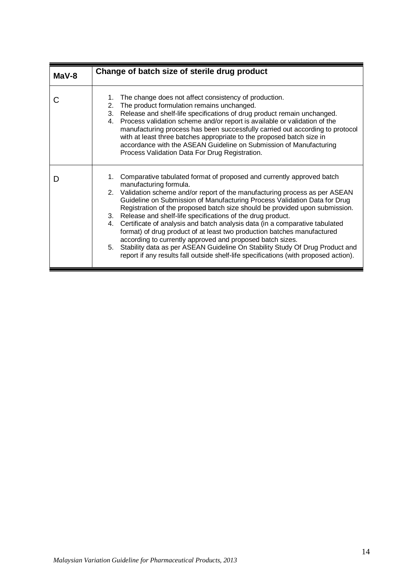<span id="page-17-0"></span>

| $Mav-8$ | Change of batch size of sterile drug product                                                                                                                                                                                                                                                                                                                                                                                                                                                                                                                                                                                                                                                                                                                                                                                     |
|---------|----------------------------------------------------------------------------------------------------------------------------------------------------------------------------------------------------------------------------------------------------------------------------------------------------------------------------------------------------------------------------------------------------------------------------------------------------------------------------------------------------------------------------------------------------------------------------------------------------------------------------------------------------------------------------------------------------------------------------------------------------------------------------------------------------------------------------------|
|         | The change does not affect consistency of production.<br>1.<br>The product formulation remains unchanged.<br>2.<br>Release and shelf-life specifications of drug product remain unchanged.<br>3.<br>Process validation scheme and/or report is available or validation of the<br>4.<br>manufacturing process has been successfully carried out according to protocol<br>with at least three batches appropriate to the proposed batch size in<br>accordance with the ASEAN Guideline on Submission of Manufacturing<br>Process Validation Data For Drug Registration.                                                                                                                                                                                                                                                            |
|         | Comparative tabulated format of proposed and currently approved batch<br>1.<br>manufacturing formula.<br>2. Validation scheme and/or report of the manufacturing process as per ASEAN<br>Guideline on Submission of Manufacturing Process Validation Data for Drug<br>Registration of the proposed batch size should be provided upon submission.<br>Release and shelf-life specifications of the drug product.<br>3.<br>Certificate of analysis and batch analysis data (in a comparative tabulated<br>4.<br>format) of drug product of at least two production batches manufactured<br>according to currently approved and proposed batch sizes.<br>Stability data as per ASEAN Guideline On Stability Study Of Drug Product and<br>5.<br>report if any results fall outside shelf-life specifications (with proposed action). |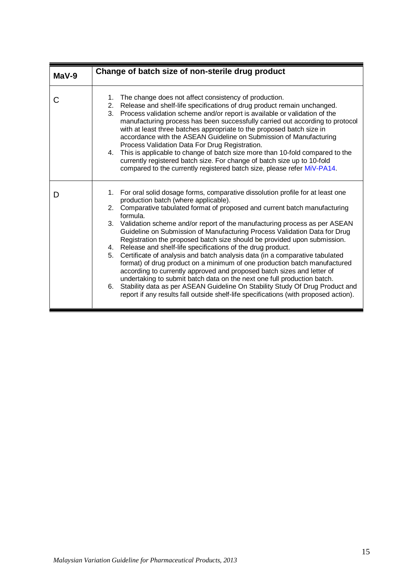<span id="page-18-0"></span>

| $Mav-9$ | Change of batch size of non-sterile drug product                                                                                                                                                                                                                                                                                                                                                                                                                                                                                                                                                                                                                                                                                                                                                                                                                                                                                                                                                                                         |
|---------|------------------------------------------------------------------------------------------------------------------------------------------------------------------------------------------------------------------------------------------------------------------------------------------------------------------------------------------------------------------------------------------------------------------------------------------------------------------------------------------------------------------------------------------------------------------------------------------------------------------------------------------------------------------------------------------------------------------------------------------------------------------------------------------------------------------------------------------------------------------------------------------------------------------------------------------------------------------------------------------------------------------------------------------|
| С       | The change does not affect consistency of production.<br>1.<br>Release and shelf-life specifications of drug product remain unchanged.<br>2.<br>Process validation scheme and/or report is available or validation of the<br>3.<br>manufacturing process has been successfully carried out according to protocol<br>with at least three batches appropriate to the proposed batch size in<br>accordance with the ASEAN Guideline on Submission of Manufacturing<br>Process Validation Data For Drug Registration.<br>4. This is applicable to change of batch size more than 10-fold compared to the<br>currently registered batch size. For change of batch size up to 10-fold<br>compared to the currently registered batch size, please refer MiV-PA14.                                                                                                                                                                                                                                                                               |
| D       | 1. For oral solid dosage forms, comparative dissolution profile for at least one<br>production batch (where applicable).<br>Comparative tabulated format of proposed and current batch manufacturing<br>2.<br>formula.<br>3. Validation scheme and/or report of the manufacturing process as per ASEAN<br>Guideline on Submission of Manufacturing Process Validation Data for Drug<br>Registration the proposed batch size should be provided upon submission.<br>Release and shelf-life specifications of the drug product.<br>4.<br>Certificate of analysis and batch analysis data (in a comparative tabulated<br>5.<br>format) of drug product on a minimum of one production batch manufactured<br>according to currently approved and proposed batch sizes and letter of<br>undertaking to submit batch data on the next one full production batch.<br>Stability data as per ASEAN Guideline On Stability Study Of Drug Product and<br>6.<br>report if any results fall outside shelf-life specifications (with proposed action). |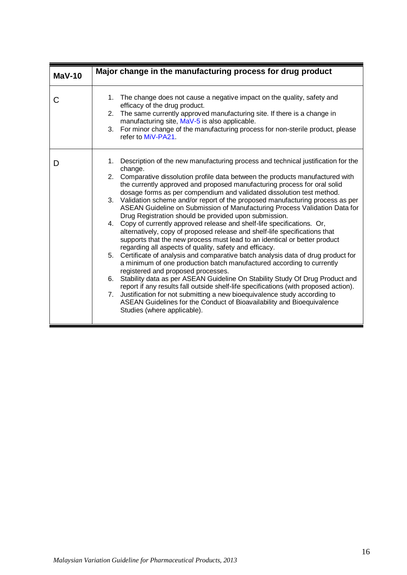<span id="page-19-0"></span>

| $Mav-10$ | Major change in the manufacturing process for drug product                                                                                                                                                                                                                                                                                                                                                                                                                                                                                                                                                                                                                                                                                                                                                                                                                                                                                                                                                                                                                                                                                                                                                                                                                                                                                                                                                                                              |
|----------|---------------------------------------------------------------------------------------------------------------------------------------------------------------------------------------------------------------------------------------------------------------------------------------------------------------------------------------------------------------------------------------------------------------------------------------------------------------------------------------------------------------------------------------------------------------------------------------------------------------------------------------------------------------------------------------------------------------------------------------------------------------------------------------------------------------------------------------------------------------------------------------------------------------------------------------------------------------------------------------------------------------------------------------------------------------------------------------------------------------------------------------------------------------------------------------------------------------------------------------------------------------------------------------------------------------------------------------------------------------------------------------------------------------------------------------------------------|
| C        | 1. The change does not cause a negative impact on the quality, safety and<br>efficacy of the drug product.<br>2. The same currently approved manufacturing site. If there is a change in<br>manufacturing site, MaV-5 is also applicable.<br>3. For minor change of the manufacturing process for non-sterile product, please<br>refer to MiV-PA21.                                                                                                                                                                                                                                                                                                                                                                                                                                                                                                                                                                                                                                                                                                                                                                                                                                                                                                                                                                                                                                                                                                     |
| D        | Description of the new manufacturing process and technical justification for the<br>1.<br>change.<br>2. Comparative dissolution profile data between the products manufactured with<br>the currently approved and proposed manufacturing process for oral solid<br>dosage forms as per compendium and validated dissolution test method.<br>3. Validation scheme and/or report of the proposed manufacturing process as per<br>ASEAN Guideline on Submission of Manufacturing Process Validation Data for<br>Drug Registration should be provided upon submission.<br>Copy of currently approved release and shelf-life specifications. Or,<br>4.<br>alternatively, copy of proposed release and shelf-life specifications that<br>supports that the new process must lead to an identical or better product<br>regarding all aspects of quality, safety and efficacy.<br>Certificate of analysis and comparative batch analysis data of drug product for<br>5.<br>a minimum of one production batch manufactured according to currently<br>registered and proposed processes.<br>Stability data as per ASEAN Guideline On Stability Study Of Drug Product and<br>6.<br>report if any results fall outside shelf-life specifications (with proposed action).<br>Justification for not submitting a new bioequivalence study according to<br>7.<br>ASEAN Guidelines for the Conduct of Bioavailability and Bioequivalence<br>Studies (where applicable). |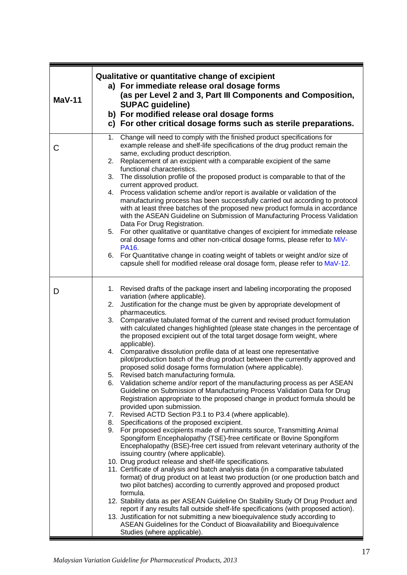<span id="page-20-0"></span>

| <b>MaV-11</b> | Qualitative or quantitative change of excipient<br>a) For immediate release oral dosage forms<br>(as per Level 2 and 3, Part III Components and Composition,<br><b>SUPAC guideline)</b><br>b) For modified release oral dosage forms<br>c) For other critical dosage forms such as sterile preparations.                                                                                                                                                                                                                                                                                                                                                                                                                                                                                                                                                                                                                                                                                                                                                                                                                                                                                                                                                                                                                                                                                                                                                                                                                                                                                                                                                                                                                                                                                                                                                                                                                                                                                                                                                                                                                             |
|---------------|--------------------------------------------------------------------------------------------------------------------------------------------------------------------------------------------------------------------------------------------------------------------------------------------------------------------------------------------------------------------------------------------------------------------------------------------------------------------------------------------------------------------------------------------------------------------------------------------------------------------------------------------------------------------------------------------------------------------------------------------------------------------------------------------------------------------------------------------------------------------------------------------------------------------------------------------------------------------------------------------------------------------------------------------------------------------------------------------------------------------------------------------------------------------------------------------------------------------------------------------------------------------------------------------------------------------------------------------------------------------------------------------------------------------------------------------------------------------------------------------------------------------------------------------------------------------------------------------------------------------------------------------------------------------------------------------------------------------------------------------------------------------------------------------------------------------------------------------------------------------------------------------------------------------------------------------------------------------------------------------------------------------------------------------------------------------------------------------------------------------------------------|
| C             | Change will need to comply with the finished product specifications for<br>$1_{\cdot}$<br>example release and shelf-life specifications of the drug product remain the<br>same, excluding product description.<br>2. Replacement of an excipient with a comparable excipient of the same<br>functional characteristics.<br>The dissolution profile of the proposed product is comparable to that of the<br>3.<br>current approved product.<br>Process validation scheme and/or report is available or validation of the<br>4.<br>manufacturing process has been successfully carried out according to protocol<br>with at least three batches of the proposed new product formula in accordance<br>with the ASEAN Guideline on Submission of Manufacturing Process Validation<br>Data For Drug Registration.<br>For other qualitative or quantitative changes of excipient for immediate release<br>5.<br>oral dosage forms and other non-critical dosage forms, please refer to MiV-<br><b>PA16</b><br>6. For Quantitative change in coating weight of tablets or weight and/or size of<br>capsule shell for modified release oral dosage form, please refer to MaV-12.                                                                                                                                                                                                                                                                                                                                                                                                                                                                                                                                                                                                                                                                                                                                                                                                                                                                                                                                                             |
| D             | 1. Revised drafts of the package insert and labeling incorporating the proposed<br>variation (where applicable).<br>Justification for the change must be given by appropriate development of<br>2.<br>pharmaceutics.<br>Comparative tabulated format of the current and revised product formulation<br>3.<br>with calculated changes highlighted (please state changes in the percentage of<br>the proposed excipient out of the total target dosage form weight, where<br>applicable).<br>4. Comparative dissolution profile data of at least one representative<br>pilot/production batch of the drug product between the currently approved and<br>proposed solid dosage forms formulation (where applicable).<br>Revised batch manufacturing formula.<br>5.<br>Validation scheme and/or report of the manufacturing process as per ASEAN<br>6.<br>Guideline on Submission of Manufacturing Process Validation Data for Drug<br>Registration appropriate to the proposed change in product formula should be<br>provided upon submission.<br>7. Revised ACTD Section P3.1 to P3.4 (where applicable).<br>8. Specifications of the proposed excipient.<br>9. For proposed excipients made of ruminants source, Transmitting Animal<br>Spongiform Encephalopathy (TSE)-free certificate or Bovine Spongiform<br>Encephalopathy (BSE)-free cert issued from relevant veterinary authority of the<br>issuing country (where applicable).<br>10. Drug product release and shelf-life specifications.<br>11. Certificate of analysis and batch analysis data (in a comparative tabulated<br>format) of drug product on at least two production (or one production batch and<br>two pilot batches) according to currently approved and proposed product<br>formula.<br>12. Stability data as per ASEAN Guideline On Stability Study Of Drug Product and<br>report if any results fall outside shelf-life specifications (with proposed action).<br>13. Justification for not submitting a new bioequivalence study according to<br>ASEAN Guidelines for the Conduct of Bioavailability and Bioequivalence<br>Studies (where applicable). |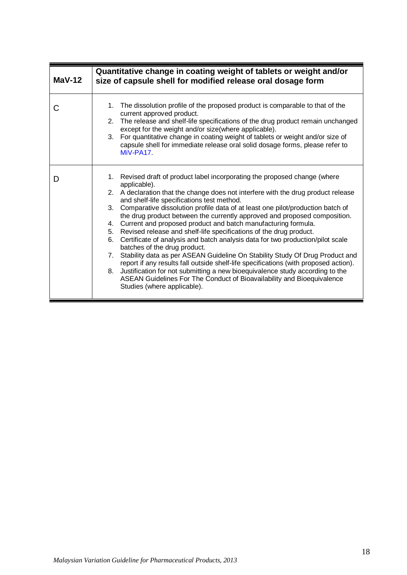<span id="page-21-0"></span>

| $MaV-12$ | Quantitative change in coating weight of tablets or weight and/or<br>size of capsule shell for modified release oral dosage form                                                                                                                                                                                                                                                                                                                                                                                                                                                                                                                                                                                                                                                                                                                                                                                                                                                                                                                                       |
|----------|------------------------------------------------------------------------------------------------------------------------------------------------------------------------------------------------------------------------------------------------------------------------------------------------------------------------------------------------------------------------------------------------------------------------------------------------------------------------------------------------------------------------------------------------------------------------------------------------------------------------------------------------------------------------------------------------------------------------------------------------------------------------------------------------------------------------------------------------------------------------------------------------------------------------------------------------------------------------------------------------------------------------------------------------------------------------|
| C        | The dissolution profile of the proposed product is comparable to that of the<br>1 <sup>1</sup><br>current approved product.<br>The release and shelf-life specifications of the drug product remain unchanged<br>2 <sup>1</sup><br>except for the weight and/or size(where applicable).<br>For quantitative change in coating weight of tablets or weight and/or size of<br>3.<br>capsule shell for immediate release oral solid dosage forms, please refer to<br>MiV-PA17                                                                                                                                                                                                                                                                                                                                                                                                                                                                                                                                                                                             |
| D        | 1. Revised draft of product label incorporating the proposed change (where<br>applicable).<br>2. A declaration that the change does not interfere with the drug product release<br>and shelf-life specifications test method.<br>Comparative dissolution profile data of at least one pilot/production batch of<br>3 <sub>1</sub><br>the drug product between the currently approved and proposed composition.<br>Current and proposed product and batch manufacturing formula.<br>4.<br>Revised release and shelf-life specifications of the drug product.<br>5.<br>Certificate of analysis and batch analysis data for two production/pilot scale<br>6.<br>batches of the drug product.<br>Stability data as per ASEAN Guideline On Stability Study Of Drug Product and<br>7.<br>report if any results fall outside shelf-life specifications (with proposed action).<br>Justification for not submitting a new bioequivalence study according to the<br>8.<br>ASEAN Guidelines For The Conduct of Bioavailability and Bioequivalence<br>Studies (where applicable). |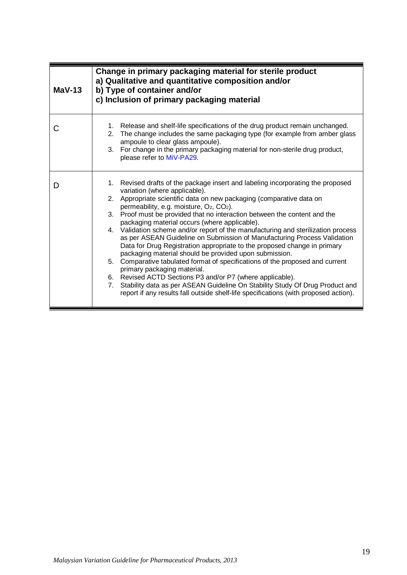<span id="page-22-0"></span>

| $Mav-13$ | Change in primary packaging material for sterile product<br>a) Qualitative and quantitative composition and/or<br>b) Type of container and/or<br>c) Inclusion of primary packaging material                                                                                                                                                                                                                                                                                                                                                                                                                                                                                                                                                                                                                                                                                                                                                                                                                                                                     |
|----------|-----------------------------------------------------------------------------------------------------------------------------------------------------------------------------------------------------------------------------------------------------------------------------------------------------------------------------------------------------------------------------------------------------------------------------------------------------------------------------------------------------------------------------------------------------------------------------------------------------------------------------------------------------------------------------------------------------------------------------------------------------------------------------------------------------------------------------------------------------------------------------------------------------------------------------------------------------------------------------------------------------------------------------------------------------------------|
| C        | 1. Release and shelf-life specifications of the drug product remain unchanged.<br>2. The change includes the same packaging type (for example from amber glass<br>ampoule to clear glass ampoule).<br>3. For change in the primary packaging material for non-sterile drug product,<br>please refer to MiV-PA29.                                                                                                                                                                                                                                                                                                                                                                                                                                                                                                                                                                                                                                                                                                                                                |
| D        | 1. Revised drafts of the package insert and labeling incorporating the proposed<br>variation (where applicable).<br>Appropriate scientific data on new packaging (comparative data on<br>2.<br>permeability, e.g. moisture, O <sub>2</sub> , CO <sub>2</sub> ).<br>3. Proof must be provided that no interaction between the content and the<br>packaging material occurs (where applicable).<br>4. Validation scheme and/or report of the manufacturing and sterilization process<br>as per ASEAN Guideline on Submission of Manufacturing Process Validation<br>Data for Drug Registration appropriate to the proposed change in primary<br>packaging material should be provided upon submission.<br>5. Comparative tabulated format of specifications of the proposed and current<br>primary packaging material.<br>6. Revised ACTD Sections P3 and/or P7 (where applicable).<br>Stability data as per ASEAN Guideline On Stability Study Of Drug Product and<br>7.<br>report if any results fall outside shelf-life specifications (with proposed action). |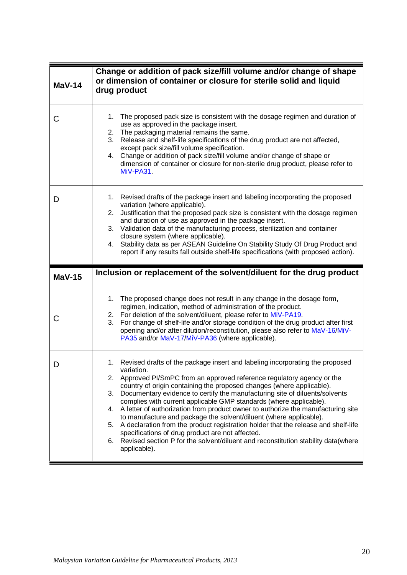<span id="page-23-1"></span><span id="page-23-0"></span>

| <b>MaV-14</b> | Change or addition of pack size/fill volume and/or change of shape<br>or dimension of container or closure for sterile solid and liquid<br>drug product                                                                                                                                                                                                                                                                                                                                                                                                                 |
|---------------|-------------------------------------------------------------------------------------------------------------------------------------------------------------------------------------------------------------------------------------------------------------------------------------------------------------------------------------------------------------------------------------------------------------------------------------------------------------------------------------------------------------------------------------------------------------------------|
| С             | The proposed pack size is consistent with the dosage regimen and duration of<br>1.<br>use as approved in the package insert.<br>The packaging material remains the same.<br>2.<br>3.<br>Release and shelf-life specifications of the drug product are not affected,<br>except pack size/fill volume specification.<br>Change or addition of pack size/fill volume and/or change of shape or<br>4.<br>dimension of container or closure for non-sterile drug product, please refer to<br>MiV-PA31                                                                        |
| D             | Revised drafts of the package insert and labeling incorporating the proposed<br>1.<br>variation (where applicable).<br>Justification that the proposed pack size is consistent with the dosage regimen<br>2.<br>and duration of use as approved in the package insert.<br>3. Validation data of the manufacturing process, sterilization and container<br>closure system (where applicable).<br>4. Stability data as per ASEAN Guideline On Stability Study Of Drug Product and<br>report if any results fall outside shelf-life specifications (with proposed action). |
|               |                                                                                                                                                                                                                                                                                                                                                                                                                                                                                                                                                                         |
| <b>MaV-15</b> | Inclusion or replacement of the solvent/diluent for the drug product                                                                                                                                                                                                                                                                                                                                                                                                                                                                                                    |
| С             | The proposed change does not result in any change in the dosage form,<br>1.<br>regimen, indication, method of administration of the product.<br>For deletion of the solvent/diluent, please refer to MiV-PA19.<br>2.<br>For change of shelf-life and/or storage condition of the drug product after first<br>3.<br>opening and/or after dilution/reconstitution, please also refer to MaV-16/MiV-<br>PA35 and/or MaV-17/MiV-PA36 (where applicable).                                                                                                                    |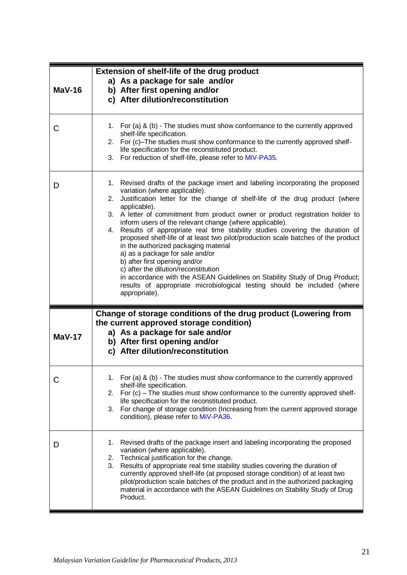<span id="page-24-1"></span><span id="page-24-0"></span>

| $MaV-16$ | <b>Extension of shelf-life of the drug product</b><br>a) As a package for sale and/or<br>b) After first opening and/or<br>c) After dilution/reconstitution                                                                                                                                                                                                                                                                                                                                                                                                                                                                                                                                                                                                                                                                                                              |
|----------|-------------------------------------------------------------------------------------------------------------------------------------------------------------------------------------------------------------------------------------------------------------------------------------------------------------------------------------------------------------------------------------------------------------------------------------------------------------------------------------------------------------------------------------------------------------------------------------------------------------------------------------------------------------------------------------------------------------------------------------------------------------------------------------------------------------------------------------------------------------------------|
| C        | 1. For (a) & (b) - The studies must show conformance to the currently approved<br>shelf-life specification.<br>2. For (c)-The studies must show conformance to the currently approved shelf-<br>life specification for the reconstituted product.<br>3. For reduction of shelf-life, please refer to MiV-PA35.                                                                                                                                                                                                                                                                                                                                                                                                                                                                                                                                                          |
| D        | 1. Revised drafts of the package insert and labeling incorporating the proposed<br>variation (where applicable).<br>2. Justification letter for the change of shelf-life of the drug product (where<br>applicable).<br>3. A letter of commitment from product owner or product registration holder to<br>inform users of the relevant change (where applicable).<br>4. Results of appropriate real time stability studies covering the duration of<br>proposed shelf-life of at least two pilot/production scale batches of the product<br>in the authorized packaging material<br>a) as a package for sale and/or<br>b) after first opening and/or<br>c) after the dilution/reconstitution<br>in accordance with the ASEAN Guidelines on Stability Study of Drug Product;<br>results of appropriate microbiological testing should be included (where<br>appropriate). |
| $MaV-17$ | Change of storage conditions of the drug product (Lowering from<br>the current approved storage condition)<br>a) As a package for sale and/or<br>b) After first opening and/or<br>c) After dilution/reconstitution                                                                                                                                                                                                                                                                                                                                                                                                                                                                                                                                                                                                                                                      |
|          | 1. For (a) & (b) - The studies must show conformance to the currently approved<br>shelf-life specification.<br>2. For (c) – The studies must show conformance to the currently approved shelf-<br>life specification for the reconstituted product.<br>For change of storage condition (Increasing from the current approved storage<br>3.<br>condition), please refer to MiV-PA36.                                                                                                                                                                                                                                                                                                                                                                                                                                                                                     |
| D        | Revised drafts of the package insert and labeling incorporating the proposed<br>1.<br>variation (where applicable).<br>2. Technical justification for the change.<br>3.<br>Results of appropriate real time stability studies covering the duration of<br>currently approved shelf-life (at proposed storage condition) of at least two<br>pilot/production scale batches of the product and in the authorized packaging<br>material in accordance with the ASEAN Guidelines on Stability Study of Drug<br>Product.                                                                                                                                                                                                                                                                                                                                                     |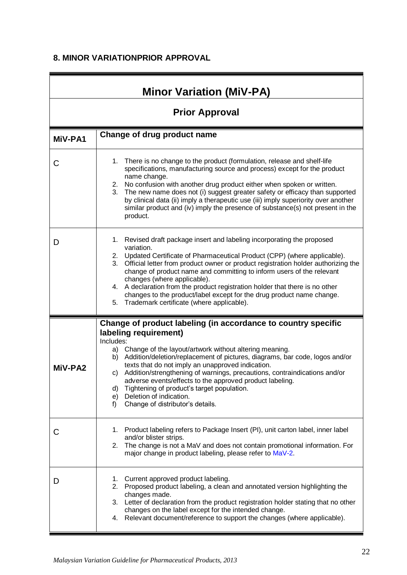# **8. MINOR VARIATIONPRIOR APPROVAL**

<span id="page-25-1"></span><span id="page-25-0"></span>

| <b>Minor Variation (MiV-PA)</b> |                                                                                                                                                                                                                                                                                                                                                                                                                                                                                                                                                                                             |  |  |
|---------------------------------|---------------------------------------------------------------------------------------------------------------------------------------------------------------------------------------------------------------------------------------------------------------------------------------------------------------------------------------------------------------------------------------------------------------------------------------------------------------------------------------------------------------------------------------------------------------------------------------------|--|--|
|                                 | <b>Prior Approval</b>                                                                                                                                                                                                                                                                                                                                                                                                                                                                                                                                                                       |  |  |
| MiV-PA1                         | Change of drug product name                                                                                                                                                                                                                                                                                                                                                                                                                                                                                                                                                                 |  |  |
| C                               | There is no change to the product (formulation, release and shelf-life<br>1.<br>specifications, manufacturing source and process) except for the product<br>name change.<br>2. No confusion with another drug product either when spoken or written.<br>3.<br>The new name does not (i) suggest greater safety or efficacy than supported<br>by clinical data (ii) imply a therapeutic use (iii) imply superiority over another<br>similar product and (iv) imply the presence of substance(s) not present in the<br>product.                                                               |  |  |
| D                               | Revised draft package insert and labeling incorporating the proposed<br>1.<br>variation.<br>Updated Certificate of Pharmaceutical Product (CPP) (where applicable).<br>2.<br>Official letter from product owner or product registration holder authorizing the<br>3.<br>change of product name and committing to inform users of the relevant<br>changes (where applicable).<br>A declaration from the product registration holder that there is no other<br>4.<br>changes to the product/label except for the drug product name change.<br>Trademark certificate (where applicable).<br>5. |  |  |
|                                 | Change of product labeling (in accordance to country specific                                                                                                                                                                                                                                                                                                                                                                                                                                                                                                                               |  |  |
| MiV-PA2                         | labeling requirement)<br>Includes:<br>Change of the layout/artwork without altering meaning.<br>a)<br>Addition/deletion/replacement of pictures, diagrams, bar code, logos and/or<br>b)<br>texts that do not imply an unapproved indication.<br>Addition/strengthening of warnings, precautions, contraindications and/or<br>C)<br>adverse events/effects to the approved product labeling.<br>Tightening of product's target population.<br>d)<br>Deletion of indication.<br>e)<br>Change of distributor's details.<br>f)                                                                  |  |  |
| С                               | Product labeling refers to Package Insert (PI), unit carton label, inner label<br>1.<br>and/or blister strips.<br>The change is not a MaV and does not contain promotional information. For<br>2.<br>major change in product labeling, please refer to MaV-2.                                                                                                                                                                                                                                                                                                                               |  |  |
| D                               | Current approved product labeling.<br>1.<br>Proposed product labeling, a clean and annotated version highlighting the<br>2.<br>changes made.<br>3. Letter of declaration from the product registration holder stating that no other<br>changes on the label except for the intended change.<br>4. Relevant document/reference to support the changes (where applicable).                                                                                                                                                                                                                    |  |  |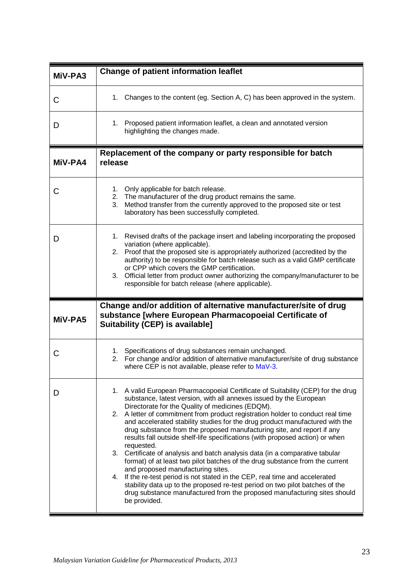<span id="page-26-1"></span><span id="page-26-0"></span>

| MiV-PA3     | <b>Change of patient information leaflet</b>                                                                                                                                                                                                                                                                                                                                                                                                                                                                                                                                                                                                                                                                                                                                                                                                                                                                                                                                                                            |
|-------------|-------------------------------------------------------------------------------------------------------------------------------------------------------------------------------------------------------------------------------------------------------------------------------------------------------------------------------------------------------------------------------------------------------------------------------------------------------------------------------------------------------------------------------------------------------------------------------------------------------------------------------------------------------------------------------------------------------------------------------------------------------------------------------------------------------------------------------------------------------------------------------------------------------------------------------------------------------------------------------------------------------------------------|
| $\mathsf C$ | 1. Changes to the content (eg. Section A, C) has been approved in the system.                                                                                                                                                                                                                                                                                                                                                                                                                                                                                                                                                                                                                                                                                                                                                                                                                                                                                                                                           |
| D           | Proposed patient information leaflet, a clean and annotated version<br>1.<br>highlighting the changes made.                                                                                                                                                                                                                                                                                                                                                                                                                                                                                                                                                                                                                                                                                                                                                                                                                                                                                                             |
| MiV-PA4     | Replacement of the company or party responsible for batch<br>release                                                                                                                                                                                                                                                                                                                                                                                                                                                                                                                                                                                                                                                                                                                                                                                                                                                                                                                                                    |
| C           | 1. Only applicable for batch release.<br>The manufacturer of the drug product remains the same.<br>2.<br>Method transfer from the currently approved to the proposed site or test<br>3.<br>laboratory has been successfully completed.                                                                                                                                                                                                                                                                                                                                                                                                                                                                                                                                                                                                                                                                                                                                                                                  |
| D           | 1. Revised drafts of the package insert and labeling incorporating the proposed<br>variation (where applicable).<br>2. Proof that the proposed site is appropriately authorized (accredited by the<br>authority) to be responsible for batch release such as a valid GMP certificate<br>or CPP which covers the GMP certification.<br>3. Official letter from product owner authorizing the company/manufacturer to be<br>responsible for batch release (where applicable).                                                                                                                                                                                                                                                                                                                                                                                                                                                                                                                                             |
| MiV-PA5     | Change and/or addition of alternative manufacturer/site of drug<br>substance [where European Pharmacopoeial Certificate of<br><b>Suitability (CEP) is available]</b>                                                                                                                                                                                                                                                                                                                                                                                                                                                                                                                                                                                                                                                                                                                                                                                                                                                    |
| С           | Specifications of drug substances remain unchanged.<br>1.<br>2. For change and/or addition of alternative manufacturer/site of drug substance<br>where CEP is not available, please refer to MaV-3.                                                                                                                                                                                                                                                                                                                                                                                                                                                                                                                                                                                                                                                                                                                                                                                                                     |
| D           | 1. A valid European Pharmacopoeial Certificate of Suitability (CEP) for the drug<br>substance, latest version, with all annexes issued by the European<br>Directorate for the Quality of medicines (EDQM).<br>2. A letter of commitment from product registration holder to conduct real time<br>and accelerated stability studies for the drug product manufactured with the<br>drug substance from the proposed manufacturing site, and report if any<br>results fall outside shelf-life specifications (with proposed action) or when<br>requested.<br>3. Certificate of analysis and batch analysis data (in a comparative tabular<br>format) of at least two pilot batches of the drug substance from the current<br>and proposed manufacturing sites.<br>4. If the re-test period is not stated in the CEP, real time and accelerated<br>stability data up to the proposed re-test period on two pilot batches of the<br>drug substance manufactured from the proposed manufacturing sites should<br>be provided. |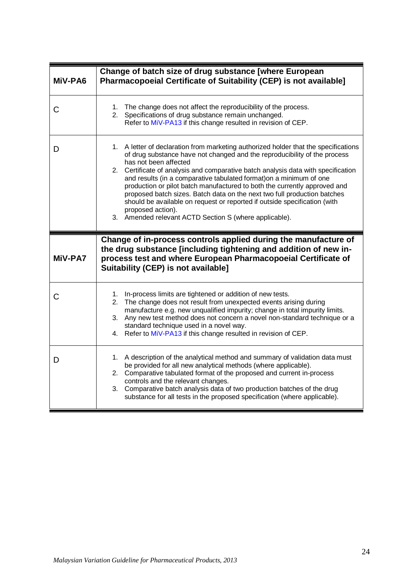<span id="page-27-1"></span><span id="page-27-0"></span>

| MiV-PA6 | Change of batch size of drug substance [where European<br>Pharmacopoeial Certificate of Suitability (CEP) is not available]                                                                                                                                                                                                                                                                                                                                                                                                                                                                                                                                                |
|---------|----------------------------------------------------------------------------------------------------------------------------------------------------------------------------------------------------------------------------------------------------------------------------------------------------------------------------------------------------------------------------------------------------------------------------------------------------------------------------------------------------------------------------------------------------------------------------------------------------------------------------------------------------------------------------|
| C       | 1. The change does not affect the reproducibility of the process.<br>Specifications of drug substance remain unchanged.<br>2.<br>Refer to MiV-PA13 if this change resulted in revision of CEP.                                                                                                                                                                                                                                                                                                                                                                                                                                                                             |
| D       | 1. A letter of declaration from marketing authorized holder that the specifications<br>of drug substance have not changed and the reproducibility of the process<br>has not been affected<br>2. Certificate of analysis and comparative batch analysis data with specification<br>and results (in a comparative tabulated format) on a minimum of one<br>production or pilot batch manufactured to both the currently approved and<br>proposed batch sizes. Batch data on the next two full production batches<br>should be available on request or reported if outside specification (with<br>proposed action).<br>3. Amended relevant ACTD Section S (where applicable). |
| MiV-PA7 | Change of in-process controls applied during the manufacture of<br>the drug substance [including tightening and addition of new in-<br>process test and where European Pharmacopoeial Certificate of<br>Suitability (CEP) is not available]                                                                                                                                                                                                                                                                                                                                                                                                                                |
| C       | 1. In-process limits are tightened or addition of new tests.<br>The change does not result from unexpected events arising during<br>2.<br>manufacture e.g. new unqualified impurity; change in total impurity limits.<br>3. Any new test method does not concern a novel non-standard technique or a<br>standard technique used in a novel way.<br>4. Refer to MiV-PA13 if this change resulted in revision of CEP.                                                                                                                                                                                                                                                        |
| D       | 1. A description of the analytical method and summary of validation data must<br>be provided for all new analytical methods (where applicable).<br>2. Comparative tabulated format of the proposed and current in-process<br>controls and the relevant changes.<br>3. Comparative batch analysis data of two production batches of the drug<br>substance for all tests in the proposed specification (where applicable).                                                                                                                                                                                                                                                   |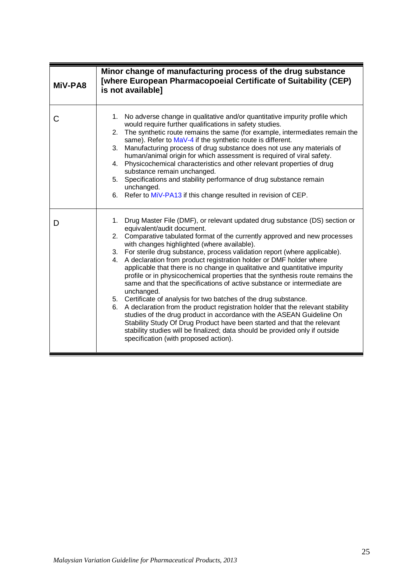<span id="page-28-0"></span>

| MiV-PA8 | Minor change of manufacturing process of the drug substance<br>[where European Pharmacopoeial Certificate of Suitability (CEP)<br>is not available]                                                                                                                                                                                                                                                                                                                                                                                                                                                                                                                                                                                                                                                                                                                                                                                                                                                                                                                                                       |
|---------|-----------------------------------------------------------------------------------------------------------------------------------------------------------------------------------------------------------------------------------------------------------------------------------------------------------------------------------------------------------------------------------------------------------------------------------------------------------------------------------------------------------------------------------------------------------------------------------------------------------------------------------------------------------------------------------------------------------------------------------------------------------------------------------------------------------------------------------------------------------------------------------------------------------------------------------------------------------------------------------------------------------------------------------------------------------------------------------------------------------|
| С       | No adverse change in qualitative and/or quantitative impurity profile which<br>1.<br>would require further qualifications in safety studies.<br>The synthetic route remains the same (for example, intermediates remain the<br>2.<br>same). Refer to MaV-4 if the synthetic route is different.<br>Manufacturing process of drug substance does not use any materials of<br>3.<br>human/animal origin for which assessment is required of viral safety.<br>Physicochemical characteristics and other relevant properties of drug<br>4.<br>substance remain unchanged.<br>Specifications and stability performance of drug substance remain<br>5.<br>unchanged.<br>6. Refer to MiV-PA13 if this change resulted in revision of CEP.                                                                                                                                                                                                                                                                                                                                                                        |
| D       | Drug Master File (DMF), or relevant updated drug substance (DS) section or<br>1.<br>equivalent/audit document.<br>Comparative tabulated format of the currently approved and new processes<br>2.<br>with changes highlighted (where available).<br>3. For sterile drug substance, process validation report (where applicable).<br>4. A declaration from product registration holder or DMF holder where<br>applicable that there is no change in qualitative and quantitative impurity<br>profile or in physicochemical properties that the synthesis route remains the<br>same and that the specifications of active substance or intermediate are<br>unchanged.<br>5. Certificate of analysis for two batches of the drug substance.<br>6. A declaration from the product registration holder that the relevant stability<br>studies of the drug product in accordance with the ASEAN Guideline On<br>Stability Study Of Drug Product have been started and that the relevant<br>stability studies will be finalized; data should be provided only if outside<br>specification (with proposed action). |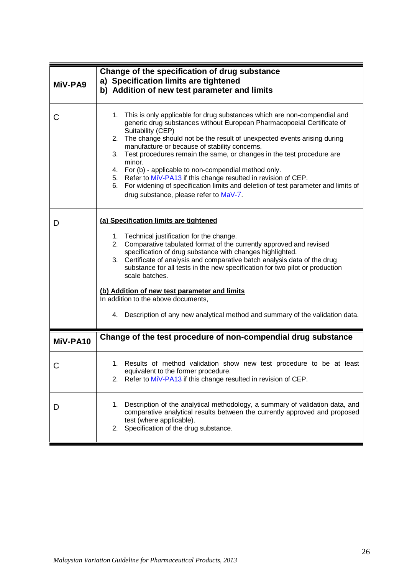<span id="page-29-1"></span><span id="page-29-0"></span>

| MiV-PA9  | Change of the specification of drug substance<br>a) Specification limits are tightened<br>b) Addition of new test parameter and limits                                                                                                                                                                                                                                                                                                                                                                                                                                                                                                                                      |
|----------|-----------------------------------------------------------------------------------------------------------------------------------------------------------------------------------------------------------------------------------------------------------------------------------------------------------------------------------------------------------------------------------------------------------------------------------------------------------------------------------------------------------------------------------------------------------------------------------------------------------------------------------------------------------------------------|
| С        | This is only applicable for drug substances which are non-compendial and<br>1.<br>generic drug substances without European Pharmacopoeial Certificate of<br>Suitability (CEP)<br>The change should not be the result of unexpected events arising during<br>2.<br>manufacture or because of stability concerns.<br>Test procedures remain the same, or changes in the test procedure are<br>3.<br>minor.<br>4. For (b) - applicable to non-compendial method only.<br>5. Refer to MiV-PA13 if this change resulted in revision of CEP.<br>For widening of specification limits and deletion of test parameter and limits of<br>6.<br>drug substance, please refer to MaV-7. |
| D        | (a) Specification limits are tightened<br>1. Technical justification for the change.<br>2. Comparative tabulated format of the currently approved and revised<br>specification of drug substance with changes highlighted.<br>3. Certificate of analysis and comparative batch analysis data of the drug<br>substance for all tests in the new specification for two pilot or production<br>scale batches.<br>(b) Addition of new test parameter and limits<br>In addition to the above documents,<br>4. Description of any new analytical method and summary of the validation data.                                                                                       |
| MiV-PA10 | Change of the test procedure of non-compendial drug substance                                                                                                                                                                                                                                                                                                                                                                                                                                                                                                                                                                                                               |
| С        | 1. Results of method validation show new test procedure to be at least<br>equivalent to the former procedure.<br>2. Refer to MiV-PA13 if this change resulted in revision of CEP.                                                                                                                                                                                                                                                                                                                                                                                                                                                                                           |
| D        | Description of the analytical methodology, a summary of validation data, and<br>1.<br>comparative analytical results between the currently approved and proposed<br>test (where applicable).<br>Specification of the drug substance.<br>2.                                                                                                                                                                                                                                                                                                                                                                                                                                  |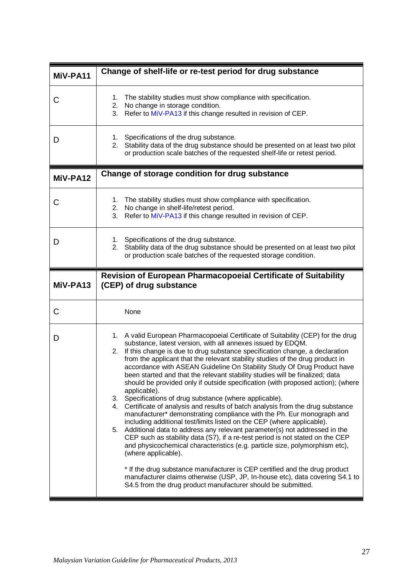<span id="page-30-2"></span><span id="page-30-1"></span><span id="page-30-0"></span>

| MiV-PA11 | Change of shelf-life or re-test period for drug substance                                                                                                                                                                                                                                                                                                                                                                                                                                                                                                                                                                                                                                                                                                                                                                                                                                                                                                                                                                                                                                                                                                                                                                                                                                                                                                                                  |
|----------|--------------------------------------------------------------------------------------------------------------------------------------------------------------------------------------------------------------------------------------------------------------------------------------------------------------------------------------------------------------------------------------------------------------------------------------------------------------------------------------------------------------------------------------------------------------------------------------------------------------------------------------------------------------------------------------------------------------------------------------------------------------------------------------------------------------------------------------------------------------------------------------------------------------------------------------------------------------------------------------------------------------------------------------------------------------------------------------------------------------------------------------------------------------------------------------------------------------------------------------------------------------------------------------------------------------------------------------------------------------------------------------------|
| C        | The stability studies must show compliance with specification.<br>1.<br>2. No change in storage condition.<br>Refer to MiV-PA13 if this change resulted in revision of CEP.<br>3.                                                                                                                                                                                                                                                                                                                                                                                                                                                                                                                                                                                                                                                                                                                                                                                                                                                                                                                                                                                                                                                                                                                                                                                                          |
| D        | Specifications of the drug substance.<br>1.<br>Stability data of the drug substance should be presented on at least two pilot<br>2.<br>or production scale batches of the requested shelf-life or retest period.                                                                                                                                                                                                                                                                                                                                                                                                                                                                                                                                                                                                                                                                                                                                                                                                                                                                                                                                                                                                                                                                                                                                                                           |
| MiV-PA12 | Change of storage condition for drug substance                                                                                                                                                                                                                                                                                                                                                                                                                                                                                                                                                                                                                                                                                                                                                                                                                                                                                                                                                                                                                                                                                                                                                                                                                                                                                                                                             |
| C        | The stability studies must show compliance with specification.<br>1.<br>2. No change in shelf-life/retest period.<br>Refer to MiV-PA13 if this change resulted in revision of CEP.<br>3.                                                                                                                                                                                                                                                                                                                                                                                                                                                                                                                                                                                                                                                                                                                                                                                                                                                                                                                                                                                                                                                                                                                                                                                                   |
| D        | Specifications of the drug substance.<br>1.<br>2. Stability data of the drug substance should be presented on at least two pilot<br>or production scale batches of the requested storage condition.                                                                                                                                                                                                                                                                                                                                                                                                                                                                                                                                                                                                                                                                                                                                                                                                                                                                                                                                                                                                                                                                                                                                                                                        |
| MiV-PA13 | Revision of European Pharmacopoeial Certificate of Suitability<br>(CEP) of drug substance                                                                                                                                                                                                                                                                                                                                                                                                                                                                                                                                                                                                                                                                                                                                                                                                                                                                                                                                                                                                                                                                                                                                                                                                                                                                                                  |
| C        | None                                                                                                                                                                                                                                                                                                                                                                                                                                                                                                                                                                                                                                                                                                                                                                                                                                                                                                                                                                                                                                                                                                                                                                                                                                                                                                                                                                                       |
| D        | 1. A valid European Pharmacopoeial Certificate of Suitability (CEP) for the drug<br>substance, latest version, with all annexes issued by EDQM.<br>2. If this change is due to drug substance specification change, a declaration<br>from the applicant that the relevant stability studies of the drug product in<br>accordance with ASEAN Guideline On Stability Study Of Drug Product have<br>been started and that the relevant stability studies will be finalized; data<br>should be provided only if outside specification (with proposed action); (where<br>applicable).<br>3. Specifications of drug substance (where applicable).<br>Certificate of analysis and results of batch analysis from the drug substance<br>4.<br>manufacturer* demonstrating compliance with the Ph. Eur monograph and<br>including additional test/limits listed on the CEP (where applicable).<br>5. Additional data to address any relevant parameter(s) not addressed in the<br>CEP such as stability data (S7), if a re-test period is not stated on the CEP<br>and physicochemical characteristics (e.g. particle size, polymorphism etc),<br>(where applicable).<br>* If the drug substance manufacturer is CEP certified and the drug product<br>manufacturer claims otherwise (USP, JP, In-house etc), data covering S4.1 to<br>S4.5 from the drug product manufacturer should be submitted. |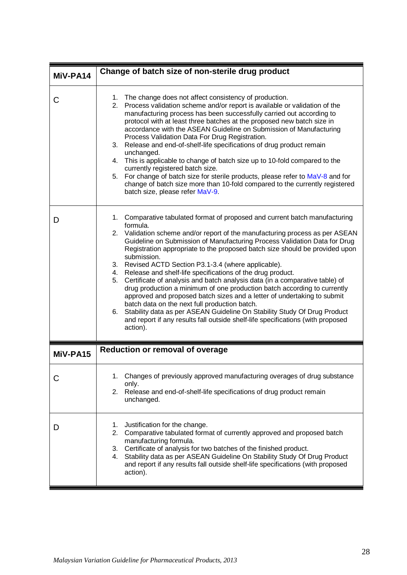<span id="page-31-1"></span><span id="page-31-0"></span>

| MiV-PA14 | Change of batch size of non-sterile drug product                                                                                                                                                                                                                                                                                                                                                                                                                                                                                                                                                                                                                                                                                                                                                                                                                                                                                                             |
|----------|--------------------------------------------------------------------------------------------------------------------------------------------------------------------------------------------------------------------------------------------------------------------------------------------------------------------------------------------------------------------------------------------------------------------------------------------------------------------------------------------------------------------------------------------------------------------------------------------------------------------------------------------------------------------------------------------------------------------------------------------------------------------------------------------------------------------------------------------------------------------------------------------------------------------------------------------------------------|
| C        | 1. The change does not affect consistency of production.<br>2. Process validation scheme and/or report is available or validation of the<br>manufacturing process has been successfully carried out according to<br>protocol with at least three batches at the proposed new batch size in<br>accordance with the ASEAN Guideline on Submission of Manufacturing<br>Process Validation Data For Drug Registration.<br>Release and end-of-shelf-life specifications of drug product remain<br>3.<br>unchanged.<br>4. This is applicable to change of batch size up to 10-fold compared to the<br>currently registered batch size.<br>For change of batch size for sterile products, please refer to MaV-8 and for<br>5.<br>change of batch size more than 10-fold compared to the currently registered<br>batch size, please refer MaV-9.                                                                                                                     |
| I)       | 1. Comparative tabulated format of proposed and current batch manufacturing<br>formula.<br>2. Validation scheme and/or report of the manufacturing process as per ASEAN<br>Guideline on Submission of Manufacturing Process Validation Data for Drug<br>Registration appropriate to the proposed batch size should be provided upon<br>submission.<br>3. Revised ACTD Section P3.1-3.4 (where applicable).<br>Release and shelf-life specifications of the drug product.<br>4.<br>5.<br>Certificate of analysis and batch analysis data (in a comparative table) of<br>drug production a minimum of one production batch according to currently<br>approved and proposed batch sizes and a letter of undertaking to submit<br>batch data on the next full production batch.<br>Stability data as per ASEAN Guideline On Stability Study Of Drug Product<br>6.<br>and report if any results fall outside shelf-life specifications (with proposed<br>action). |
| MiV-PA15 | <b>Reduction or removal of overage</b>                                                                                                                                                                                                                                                                                                                                                                                                                                                                                                                                                                                                                                                                                                                                                                                                                                                                                                                       |
| С        | 1. Changes of previously approved manufacturing overages of drug substance<br>only.<br>Release and end-of-shelf-life specifications of drug product remain<br>2.<br>unchanged.                                                                                                                                                                                                                                                                                                                                                                                                                                                                                                                                                                                                                                                                                                                                                                               |
| D        | Justification for the change.<br>1.<br>Comparative tabulated format of currently approved and proposed batch<br>2.<br>manufacturing formula.<br>Certificate of analysis for two batches of the finished product.<br>3.<br>Stability data as per ASEAN Guideline On Stability Study Of Drug Product<br>4.<br>and report if any results fall outside shelf-life specifications (with proposed<br>action).                                                                                                                                                                                                                                                                                                                                                                                                                                                                                                                                                      |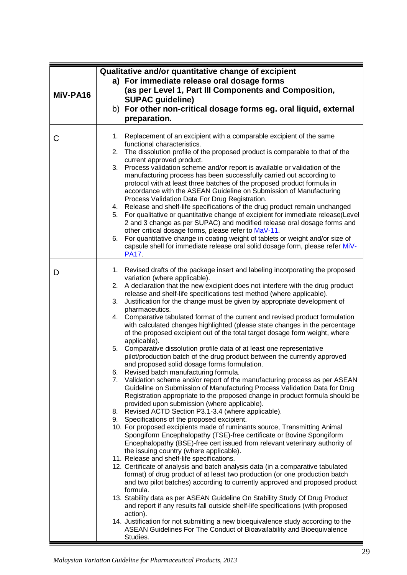<span id="page-32-0"></span>

| MiV-PA16 | Qualitative and/or quantitative change of excipient<br>a) For immediate release oral dosage forms<br>(as per Level 1, Part III Components and Composition,<br><b>SUPAC guideline)</b>                                                                                                                                                                                                                                                                                                                                                                                                                                                                                                                                                                                                                                                                                                                                                                                                                                                                                                                                                                                                                                                                                                                                                                                                                                                                                                                                                                                                                                                                                                                                                                                                                                                                                                                                                                                                                                                                                                                                                                                                                                                                                    |
|----------|--------------------------------------------------------------------------------------------------------------------------------------------------------------------------------------------------------------------------------------------------------------------------------------------------------------------------------------------------------------------------------------------------------------------------------------------------------------------------------------------------------------------------------------------------------------------------------------------------------------------------------------------------------------------------------------------------------------------------------------------------------------------------------------------------------------------------------------------------------------------------------------------------------------------------------------------------------------------------------------------------------------------------------------------------------------------------------------------------------------------------------------------------------------------------------------------------------------------------------------------------------------------------------------------------------------------------------------------------------------------------------------------------------------------------------------------------------------------------------------------------------------------------------------------------------------------------------------------------------------------------------------------------------------------------------------------------------------------------------------------------------------------------------------------------------------------------------------------------------------------------------------------------------------------------------------------------------------------------------------------------------------------------------------------------------------------------------------------------------------------------------------------------------------------------------------------------------------------------------------------------------------------------|
|          | b) For other non-critical dosage forms eg. oral liquid, external<br>preparation.                                                                                                                                                                                                                                                                                                                                                                                                                                                                                                                                                                                                                                                                                                                                                                                                                                                                                                                                                                                                                                                                                                                                                                                                                                                                                                                                                                                                                                                                                                                                                                                                                                                                                                                                                                                                                                                                                                                                                                                                                                                                                                                                                                                         |
| C        | Replacement of an excipient with a comparable excipient of the same<br>1.<br>functional characteristics.<br>The dissolution profile of the proposed product is comparable to that of the<br>2.<br>current approved product.<br>Process validation scheme and/or report is available or validation of the<br>3.<br>manufacturing process has been successfully carried out according to<br>protocol with at least three batches of the proposed product formula in<br>accordance with the ASEAN Guideline on Submission of Manufacturing<br>Process Validation Data For Drug Registration.<br>4. Release and shelf-life specifications of the drug product remain unchanged<br>5. For qualitative or quantitative change of excipient for immediate release(Level<br>2 and 3 change as per SUPAC) and modified release oral dosage forms and<br>other critical dosage forms, please refer to MaV-11.<br>6. For quantitative change in coating weight of tablets or weight and/or size of<br>capsule shell for immediate release oral solid dosage form, please refer MiV-<br><b>PA17</b>                                                                                                                                                                                                                                                                                                                                                                                                                                                                                                                                                                                                                                                                                                                                                                                                                                                                                                                                                                                                                                                                                                                                                                                  |
| D        | 1. Revised drafts of the package insert and labeling incorporating the proposed<br>variation (where applicable).<br>2. A declaration that the new excipient does not interfere with the drug product<br>release and shelf-life specifications test method (where applicable).<br>Justification for the change must be given by appropriate development of<br>3.<br>pharmaceutics.<br>4. Comparative tabulated format of the current and revised product formulation<br>with calculated changes highlighted (please state changes in the percentage<br>of the proposed excipient out of the total target dosage form weight, where<br>applicable).<br>5. Comparative dissolution profile data of at least one representative<br>pilot/production batch of the drug product between the currently approved<br>and proposed solid dosage forms formulation.<br>Revised batch manufacturing formula.<br>6.<br>Validation scheme and/or report of the manufacturing process as per ASEAN<br>7.<br>Guideline on Submission of Manufacturing Process Validation Data for Drug<br>Registration appropriate to the proposed change in product formula should be<br>provided upon submission (where applicable).<br>Revised ACTD Section P3.1-3.4 (where applicable).<br>8.<br>Specifications of the proposed excipient.<br>9.<br>10. For proposed excipients made of ruminants source, Transmitting Animal<br>Spongiform Encephalopathy (TSE)-free certificate or Bovine Spongiform<br>Encephalopathy (BSE)-free cert issued from relevant veterinary authority of<br>the issuing country (where applicable).<br>11. Release and shelf-life specifications.<br>12. Certificate of analysis and batch analysis data (in a comparative tabulated<br>format) of drug product of at least two production (or one production batch<br>and two pilot batches) according to currently approved and proposed product<br>formula.<br>13. Stability data as per ASEAN Guideline On Stability Study Of Drug Product<br>and report if any results fall outside shelf-life specifications (with proposed<br>action).<br>14. Justification for not submitting a new bioequivalence study according to the<br>ASEAN Guidelines For The Conduct of Bioavailability and Bioequivalence<br>Studies. |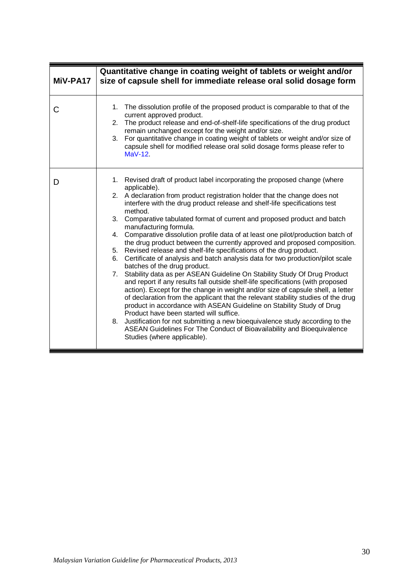<span id="page-33-0"></span>

| MiV-PA17 | Quantitative change in coating weight of tablets or weight and/or<br>size of capsule shell for immediate release oral solid dosage form                                                                                                                                                                                                                                                                                                                                                                                                                                                                                                                                                                                                                                                                                                                                                                                                                                                                                                                                                                                                                                                                                                                                                                                                                                                                     |
|----------|-------------------------------------------------------------------------------------------------------------------------------------------------------------------------------------------------------------------------------------------------------------------------------------------------------------------------------------------------------------------------------------------------------------------------------------------------------------------------------------------------------------------------------------------------------------------------------------------------------------------------------------------------------------------------------------------------------------------------------------------------------------------------------------------------------------------------------------------------------------------------------------------------------------------------------------------------------------------------------------------------------------------------------------------------------------------------------------------------------------------------------------------------------------------------------------------------------------------------------------------------------------------------------------------------------------------------------------------------------------------------------------------------------------|
| С        | 1. The dissolution profile of the proposed product is comparable to that of the<br>current approved product.<br>2. The product release and end-of-shelf-life specifications of the drug product<br>remain unchanged except for the weight and/or size.<br>For quantitative change in coating weight of tablets or weight and/or size of<br>3.<br>capsule shell for modified release oral solid dosage forms please refer to<br>$MaV-12$                                                                                                                                                                                                                                                                                                                                                                                                                                                                                                                                                                                                                                                                                                                                                                                                                                                                                                                                                                     |
| D        | 1. Revised draft of product label incorporating the proposed change (where<br>applicable).<br>2. A declaration from product registration holder that the change does not<br>interfere with the drug product release and shelf-life specifications test<br>method.<br>3. Comparative tabulated format of current and proposed product and batch<br>manufacturing formula.<br>4. Comparative dissolution profile data of at least one pilot/production batch of<br>the drug product between the currently approved and proposed composition.<br>5. Revised release and shelf-life specifications of the drug product.<br>Certificate of analysis and batch analysis data for two production/pilot scale<br>6.<br>batches of the drug product.<br>Stability data as per ASEAN Guideline On Stability Study Of Drug Product<br>7.<br>and report if any results fall outside shelf-life specifications (with proposed<br>action). Except for the change in weight and/or size of capsule shell, a letter<br>of declaration from the applicant that the relevant stability studies of the drug<br>product in accordance with ASEAN Guideline on Stability Study of Drug<br>Product have been started will suffice.<br>Justification for not submitting a new bioequivalence study according to the<br>8.<br>ASEAN Guidelines For The Conduct of Bioavailability and Bioequivalence<br>Studies (where applicable). |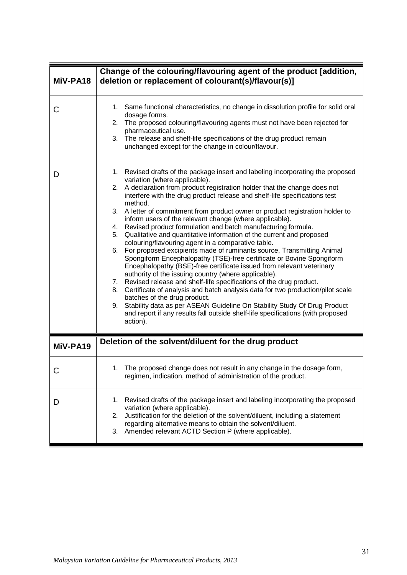<span id="page-34-1"></span><span id="page-34-0"></span>

| MiV-PA18 | Change of the colouring/flavouring agent of the product [addition,<br>deletion or replacement of colourant(s)/flavour(s)]                                                                                                                                                                                                                                                                                                                                                                                                                                                                                                                                                                                                                                                                                                                                                                                                                                                                                                                                                                                                                                                                                                                                                                                                    |
|----------|------------------------------------------------------------------------------------------------------------------------------------------------------------------------------------------------------------------------------------------------------------------------------------------------------------------------------------------------------------------------------------------------------------------------------------------------------------------------------------------------------------------------------------------------------------------------------------------------------------------------------------------------------------------------------------------------------------------------------------------------------------------------------------------------------------------------------------------------------------------------------------------------------------------------------------------------------------------------------------------------------------------------------------------------------------------------------------------------------------------------------------------------------------------------------------------------------------------------------------------------------------------------------------------------------------------------------|
| С        | Same functional characteristics, no change in dissolution profile for solid oral<br>1.<br>dosage forms.<br>The proposed colouring/flavouring agents must not have been rejected for<br>2.<br>pharmaceutical use.<br>3. The release and shelf-life specifications of the drug product remain<br>unchanged except for the change in colour/flavour.                                                                                                                                                                                                                                                                                                                                                                                                                                                                                                                                                                                                                                                                                                                                                                                                                                                                                                                                                                            |
| D        | 1. Revised drafts of the package insert and labeling incorporating the proposed<br>variation (where applicable).<br>2. A declaration from product registration holder that the change does not<br>interfere with the drug product release and shelf-life specifications test<br>method.<br>3. A letter of commitment from product owner or product registration holder to<br>inform users of the relevant change (where applicable).<br>Revised product formulation and batch manufacturing formula.<br>4.<br>Qualitative and quantitative information of the current and proposed<br>5.<br>colouring/flavouring agent in a comparative table.<br>For proposed excipients made of ruminants source, Transmitting Animal<br>6.<br>Spongiform Encephalopathy (TSE)-free certificate or Bovine Spongiform<br>Encephalopathy (BSE)-free certificate issued from relevant veterinary<br>authority of the issuing country (where applicable).<br>Revised release and shelf-life specifications of the drug product.<br>7.<br>Certificate of analysis and batch analysis data for two production/pilot scale<br>8.<br>batches of the drug product.<br>Stability data as per ASEAN Guideline On Stability Study Of Drug Product<br>9.<br>and report if any results fall outside shelf-life specifications (with proposed<br>action). |
| MiV-PA19 | Deletion of the solvent/diluent for the drug product                                                                                                                                                                                                                                                                                                                                                                                                                                                                                                                                                                                                                                                                                                                                                                                                                                                                                                                                                                                                                                                                                                                                                                                                                                                                         |
|          | The proposed change does not result in any change in the dosage form,<br>1.<br>regimen, indication, method of administration of the product.                                                                                                                                                                                                                                                                                                                                                                                                                                                                                                                                                                                                                                                                                                                                                                                                                                                                                                                                                                                                                                                                                                                                                                                 |
| D        | Revised drafts of the package insert and labeling incorporating the proposed<br>1.<br>variation (where applicable).<br>Justification for the deletion of the solvent/diluent, including a statement<br>2.<br>regarding alternative means to obtain the solvent/diluent.<br>Amended relevant ACTD Section P (where applicable).<br>3.                                                                                                                                                                                                                                                                                                                                                                                                                                                                                                                                                                                                                                                                                                                                                                                                                                                                                                                                                                                         |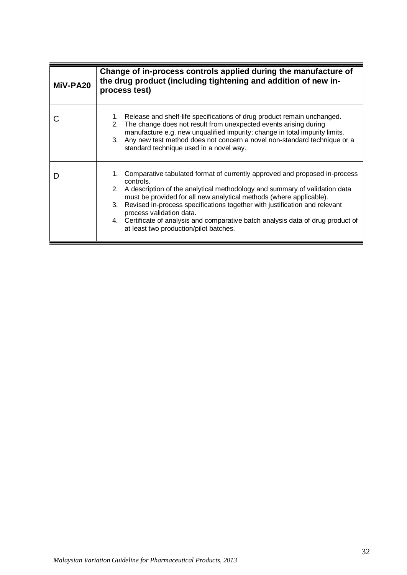<span id="page-35-0"></span>

| MiV-PA20 | Change of in-process controls applied during the manufacture of<br>the drug product (including tightening and addition of new in-<br>process test)                                                                                                                                                                                                                                                                                                                                                |
|----------|---------------------------------------------------------------------------------------------------------------------------------------------------------------------------------------------------------------------------------------------------------------------------------------------------------------------------------------------------------------------------------------------------------------------------------------------------------------------------------------------------|
|          | 1. Release and shelf-life specifications of drug product remain unchanged.<br>2. The change does not result from unexpected events arising during<br>manufacture e.g. new unqualified impurity; change in total impurity limits.<br>3. Any new test method does not concern a novel non-standard technique or a<br>standard technique used in a novel way.                                                                                                                                        |
|          | 1. Comparative tabulated format of currently approved and proposed in-process<br>controls.<br>2. A description of the analytical methodology and summary of validation data<br>must be provided for all new analytical methods (where applicable).<br>Revised in-process specifications together with justification and relevant<br>3.<br>process validation data.<br>4. Certificate of analysis and comparative batch analysis data of drug product of<br>at least two production/pilot batches. |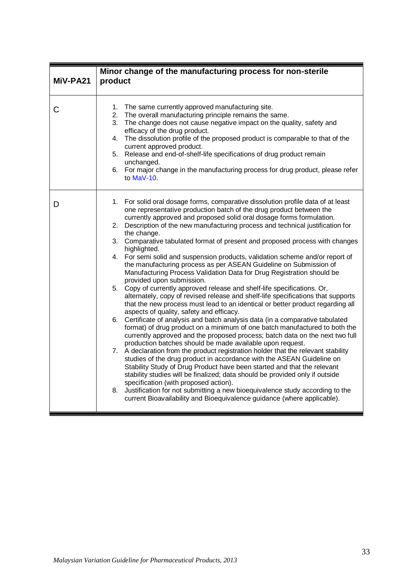<span id="page-36-0"></span>

| MiV-PA21 | Minor change of the manufacturing process for non-sterile<br>product                                                                                                                                                                                                                                                                                                                                                                                                                                                                                                                                                                                                                                                                                                                                                                                                                                                                                                                                                                                                                                                                                                                                                                                                                                                                                                                                                                                                                                                                                                                                                                                                                                                                                                                                                                        |
|----------|---------------------------------------------------------------------------------------------------------------------------------------------------------------------------------------------------------------------------------------------------------------------------------------------------------------------------------------------------------------------------------------------------------------------------------------------------------------------------------------------------------------------------------------------------------------------------------------------------------------------------------------------------------------------------------------------------------------------------------------------------------------------------------------------------------------------------------------------------------------------------------------------------------------------------------------------------------------------------------------------------------------------------------------------------------------------------------------------------------------------------------------------------------------------------------------------------------------------------------------------------------------------------------------------------------------------------------------------------------------------------------------------------------------------------------------------------------------------------------------------------------------------------------------------------------------------------------------------------------------------------------------------------------------------------------------------------------------------------------------------------------------------------------------------------------------------------------------------|
| С        | The same currently approved manufacturing site.<br>1.<br>2. The overall manufacturing principle remains the same.<br>The change does not cause negative impact on the quality, safety and<br>3.<br>efficacy of the drug product.<br>4. The dissolution profile of the proposed product is comparable to that of the<br>current approved product.<br>Release and end-of-shelf-life specifications of drug product remain<br>5.<br>unchanged.<br>6. For major change in the manufacturing process for drug product, please refer<br>to MaV-10.                                                                                                                                                                                                                                                                                                                                                                                                                                                                                                                                                                                                                                                                                                                                                                                                                                                                                                                                                                                                                                                                                                                                                                                                                                                                                                |
| D        | 1. For solid oral dosage forms, comparative dissolution profile data of at least<br>one representative production batch of the drug product between the<br>currently approved and proposed solid oral dosage forms formulation.<br>2. Description of the new manufacturing process and technical justification for<br>the change.<br>3. Comparative tabulated format of present and proposed process with changes<br>highlighted.<br>4. For semi solid and suspension products, validation scheme and/or report of<br>the manufacturing process as per ASEAN Guideline on Submission of<br>Manufacturing Process Validation Data for Drug Registration should be<br>provided upon submission.<br>5. Copy of currently approved release and shelf-life specifications. Or,<br>alternately, copy of revised release and shelf-life specifications that supports<br>that the new process must lead to an identical or better product regarding all<br>aspects of quality, safety and efficacy.<br>6. Certificate of analysis and batch analysis data (in a comparative tabulated<br>format) of drug product on a minimum of one batch manufactured to both the<br>currently approved and the proposed process; batch data on the next two full<br>production batches should be made available upon request.<br>7. A declaration from the product registration holder that the relevant stability<br>studies of the drug product in accordance with the ASEAN Guideline on<br>Stability Study of Drug Product have been started and that the relevant<br>stability studies will be finalized; data should be provided only if outside<br>specification (with proposed action).<br>Justification for not submitting a new bioequivalence study according to the<br>8.<br>current Bioavailability and Bioequivalence guidance (where applicable). |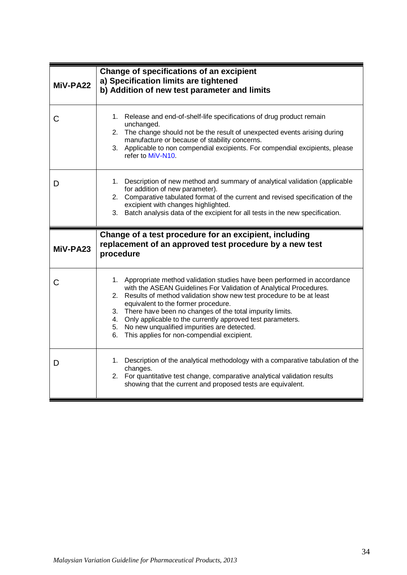<span id="page-37-1"></span><span id="page-37-0"></span>

| MiV-PA22 | Change of specifications of an excipient<br>a) Specification limits are tightened<br>b) Addition of new test parameter and limits                                                                                                                                                                                                                                                                                                                                                                          |
|----------|------------------------------------------------------------------------------------------------------------------------------------------------------------------------------------------------------------------------------------------------------------------------------------------------------------------------------------------------------------------------------------------------------------------------------------------------------------------------------------------------------------|
| С        | 1. Release and end-of-shelf-life specifications of drug product remain<br>unchanged.<br>2. The change should not be the result of unexpected events arising during<br>manufacture or because of stability concerns.<br>3. Applicable to non compendial excipients. For compendial excipients, please<br>refer to MiV-N10                                                                                                                                                                                   |
| D        | 1. Description of new method and summary of analytical validation (applicable<br>for addition of new parameter).<br>2. Comparative tabulated format of the current and revised specification of the<br>excipient with changes highlighted.<br>3. Batch analysis data of the excipient for all tests in the new specification.                                                                                                                                                                              |
| MiV-PA23 | Change of a test procedure for an excipient, including<br>replacement of an approved test procedure by a new test<br>procedure                                                                                                                                                                                                                                                                                                                                                                             |
| C        | 1. Appropriate method validation studies have been performed in accordance<br>with the ASEAN Guidelines For Validation of Analytical Procedures.<br>Results of method validation show new test procedure to be at least<br>2.<br>equivalent to the former procedure.<br>3. There have been no changes of the total impurity limits.<br>4. Only applicable to the currently approved test parameters.<br>5. No new unqualified impurities are detected.<br>This applies for non-compendial excipient.<br>6. |
| D        | 1. Description of the analytical methodology with a comparative tabulation of the<br>changes.<br>2. For quantitative test change, comparative analytical validation results<br>showing that the current and proposed tests are equivalent.                                                                                                                                                                                                                                                                 |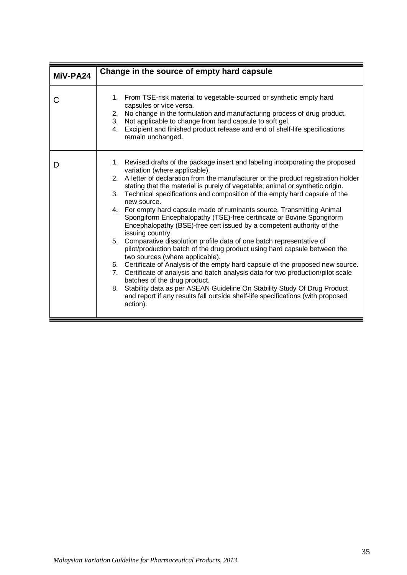<span id="page-38-0"></span>

| MiV-PA24 | Change in the source of empty hard capsule                                                                                                                                                                                                                                                                                                                                                                                                                                                                                                                                                                                                                                                                                                                                                                                                                                                                                                                                                                                                                                                                                                                                                                                         |
|----------|------------------------------------------------------------------------------------------------------------------------------------------------------------------------------------------------------------------------------------------------------------------------------------------------------------------------------------------------------------------------------------------------------------------------------------------------------------------------------------------------------------------------------------------------------------------------------------------------------------------------------------------------------------------------------------------------------------------------------------------------------------------------------------------------------------------------------------------------------------------------------------------------------------------------------------------------------------------------------------------------------------------------------------------------------------------------------------------------------------------------------------------------------------------------------------------------------------------------------------|
| С        | 1. From TSE-risk material to vegetable-sourced or synthetic empty hard<br>capsules or vice versa.<br>No change in the formulation and manufacturing process of drug product.<br>2.<br>Not applicable to change from hard capsule to soft gel.<br>3.<br>Excipient and finished product release and end of shelf-life specifications<br>4.<br>remain unchanged.                                                                                                                                                                                                                                                                                                                                                                                                                                                                                                                                                                                                                                                                                                                                                                                                                                                                      |
| Ð        | 1. Revised drafts of the package insert and labeling incorporating the proposed<br>variation (where applicable).<br>2. A letter of declaration from the manufacturer or the product registration holder<br>stating that the material is purely of vegetable, animal or synthetic origin.<br>3. Technical specifications and composition of the empty hard capsule of the<br>new source.<br>4. For empty hard capsule made of ruminants source, Transmitting Animal<br>Spongiform Encephalopathy (TSE)-free certificate or Bovine Spongiform<br>Encephalopathy (BSE)-free cert issued by a competent authority of the<br>issuing country.<br>Comparative dissolution profile data of one batch representative of<br>5.<br>pilot/production batch of the drug product using hard capsule between the<br>two sources (where applicable).<br>6. Certificate of Analysis of the empty hard capsule of the proposed new source.<br>Certificate of analysis and batch analysis data for two production/pilot scale<br>7.<br>batches of the drug product.<br>Stability data as per ASEAN Guideline On Stability Study Of Drug Product<br>8.<br>and report if any results fall outside shelf-life specifications (with proposed<br>action). |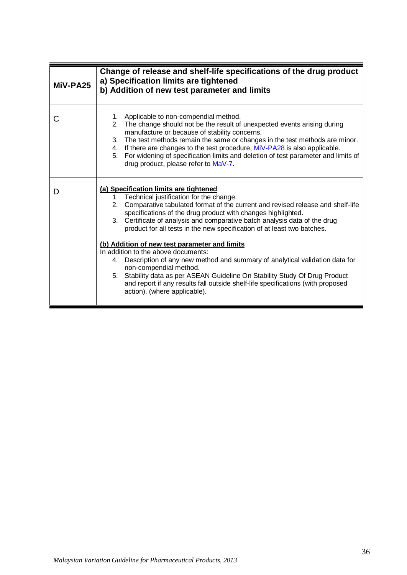<span id="page-39-0"></span>

| MiV-PA25 | Change of release and shelf-life specifications of the drug product<br>a) Specification limits are tightened<br>b) Addition of new test parameter and limits                                                                                                                                                                                                                                                                                                                                                                                                                                                                                                                                                                                                                                                   |
|----------|----------------------------------------------------------------------------------------------------------------------------------------------------------------------------------------------------------------------------------------------------------------------------------------------------------------------------------------------------------------------------------------------------------------------------------------------------------------------------------------------------------------------------------------------------------------------------------------------------------------------------------------------------------------------------------------------------------------------------------------------------------------------------------------------------------------|
| С        | 1. Applicable to non-compendial method.<br>The change should not be the result of unexpected events arising during<br>2.<br>manufacture or because of stability concerns.<br>3. The test methods remain the same or changes in the test methods are minor.<br>4. If there are changes to the test procedure, MiV-PA28 is also applicable.<br>5. For widening of specification limits and deletion of test parameter and limits of<br>drug product, please refer to MaV-7.                                                                                                                                                                                                                                                                                                                                      |
| D        | (a) Specification limits are tightened<br>1. Technical justification for the change.<br>Comparative tabulated format of the current and revised release and shelf-life<br>2.<br>specifications of the drug product with changes highlighted.<br>Certificate of analysis and comparative batch analysis data of the drug<br>3.<br>product for all tests in the new specification of at least two batches.<br>(b) Addition of new test parameter and limits<br>In addition to the above documents:<br>4. Description of any new method and summary of analytical validation data for<br>non-compendial method.<br>5. Stability data as per ASEAN Guideline On Stability Study Of Drug Product<br>and report if any results fall outside shelf-life specifications (with proposed<br>action). (where applicable). |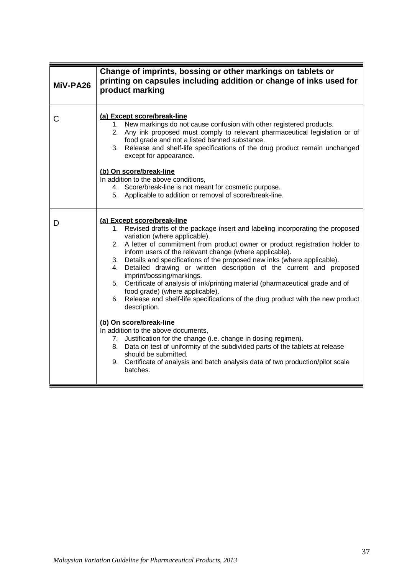<span id="page-40-0"></span>

| MiV-PA26 | Change of imprints, bossing or other markings on tablets or<br>printing on capsules including addition or change of inks used for<br>product marking                                                                                                                                                                                                                                                                                                                                                                                                                                                                                                                                                                                                                                                                                                                                                                                                                                                                                                              |
|----------|-------------------------------------------------------------------------------------------------------------------------------------------------------------------------------------------------------------------------------------------------------------------------------------------------------------------------------------------------------------------------------------------------------------------------------------------------------------------------------------------------------------------------------------------------------------------------------------------------------------------------------------------------------------------------------------------------------------------------------------------------------------------------------------------------------------------------------------------------------------------------------------------------------------------------------------------------------------------------------------------------------------------------------------------------------------------|
| С        | (a) Except score/break-line<br>1. New markings do not cause confusion with other registered products.<br>2. Any ink proposed must comply to relevant pharmaceutical legislation or of<br>food grade and not a listed banned substance.<br>3. Release and shelf-life specifications of the drug product remain unchanged<br>except for appearance.<br>(b) On score/break-line<br>In addition to the above conditions,<br>4. Score/break-line is not meant for cosmetic purpose.<br>5. Applicable to addition or removal of score/break-line.                                                                                                                                                                                                                                                                                                                                                                                                                                                                                                                       |
| D        | (a) Except score/break-line<br>1. Revised drafts of the package insert and labeling incorporating the proposed<br>variation (where applicable).<br>2. A letter of commitment from product owner or product registration holder to<br>inform users of the relevant change (where applicable).<br>3. Details and specifications of the proposed new inks (where applicable).<br>Detailed drawing or written description of the current and proposed<br>4.<br>imprint/bossing/markings.<br>5. Certificate of analysis of ink/printing material (pharmaceutical grade and of<br>food grade) (where applicable).<br>6. Release and shelf-life specifications of the drug product with the new product<br>description.<br>(b) On score/break-line<br>In addition to the above documents,<br>7. Justification for the change (i.e. change in dosing regimen).<br>8. Data on test of uniformity of the subdivided parts of the tablets at release<br>should be submitted.<br>9. Certificate of analysis and batch analysis data of two production/pilot scale<br>batches. |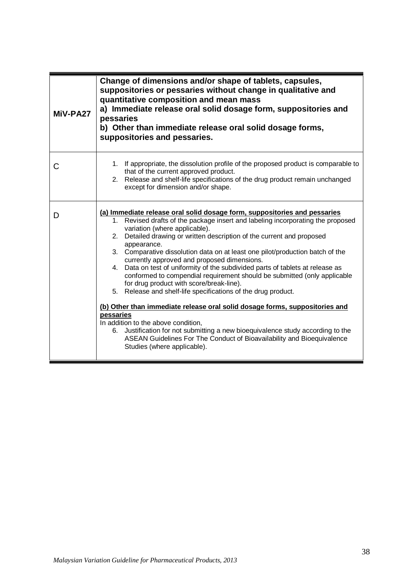<span id="page-41-0"></span>

| MiV-PA27 | Change of dimensions and/or shape of tablets, capsules,<br>suppositories or pessaries without change in qualitative and<br>quantitative composition and mean mass<br>a) Immediate release oral solid dosage form, suppositories and<br>pessaries<br>b) Other than immediate release oral solid dosage forms,<br>suppositories and pessaries.                                                                                                                                                                                                                                                                                                                                                                                                                                                                                                                                                                                                                                                                                        |
|----------|-------------------------------------------------------------------------------------------------------------------------------------------------------------------------------------------------------------------------------------------------------------------------------------------------------------------------------------------------------------------------------------------------------------------------------------------------------------------------------------------------------------------------------------------------------------------------------------------------------------------------------------------------------------------------------------------------------------------------------------------------------------------------------------------------------------------------------------------------------------------------------------------------------------------------------------------------------------------------------------------------------------------------------------|
| С        | 1. If appropriate, the dissolution profile of the proposed product is comparable to<br>that of the current approved product.<br>2. Release and shelf-life specifications of the drug product remain unchanged<br>except for dimension and/or shape.                                                                                                                                                                                                                                                                                                                                                                                                                                                                                                                                                                                                                                                                                                                                                                                 |
| D        | (a) Immediate release oral solid dosage form, suppositories and pessaries<br>Revised drafts of the package insert and labeling incorporating the proposed<br>1.<br>variation (where applicable).<br>2. Detailed drawing or written description of the current and proposed<br>appearance.<br>3. Comparative dissolution data on at least one pilot/production batch of the<br>currently approved and proposed dimensions.<br>4. Data on test of uniformity of the subdivided parts of tablets at release as<br>conformed to compendial requirement should be submitted (only applicable<br>for drug product with score/break-line).<br>5. Release and shelf-life specifications of the drug product.<br>(b) Other than immediate release oral solid dosage forms, suppositories and<br>pessaries<br>In addition to the above condition,<br>6. Justification for not submitting a new bioequivalence study according to the<br>ASEAN Guidelines For The Conduct of Bioavailability and Bioequivalence<br>Studies (where applicable). |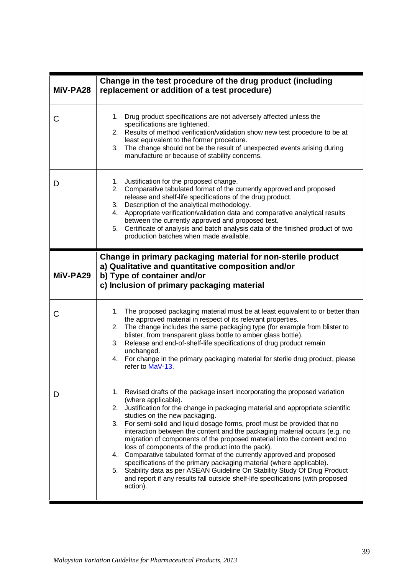<span id="page-42-1"></span><span id="page-42-0"></span>

| MiV-PA28 | Change in the test procedure of the drug product (including<br>replacement or addition of a test procedure)                                                                                                                                                                                                                                                                                                                                                                                                                                                                                                                                                                                                                                                                                                                                                |
|----------|------------------------------------------------------------------------------------------------------------------------------------------------------------------------------------------------------------------------------------------------------------------------------------------------------------------------------------------------------------------------------------------------------------------------------------------------------------------------------------------------------------------------------------------------------------------------------------------------------------------------------------------------------------------------------------------------------------------------------------------------------------------------------------------------------------------------------------------------------------|
| C        | Drug product specifications are not adversely affected unless the<br>1.<br>specifications are tightened.<br>2. Results of method verification/validation show new test procedure to be at<br>least equivalent to the former procedure.<br>3. The change should not be the result of unexpected events arising during<br>manufacture or because of stability concerns.                                                                                                                                                                                                                                                                                                                                                                                                                                                                                      |
| D        | Justification for the proposed change.<br>1.<br>2. Comparative tabulated format of the currently approved and proposed<br>release and shelf-life specifications of the drug product.<br>3. Description of the analytical methodology.<br>4. Appropriate verification/validation data and comparative analytical results<br>between the currently approved and proposed test.<br>Certificate of analysis and batch analysis data of the finished product of two<br>5.<br>production batches when made available.                                                                                                                                                                                                                                                                                                                                            |
| MiV-PA29 | Change in primary packaging material for non-sterile product<br>a) Qualitative and quantitative composition and/or<br>b) Type of container and/or<br>c) Inclusion of primary packaging material                                                                                                                                                                                                                                                                                                                                                                                                                                                                                                                                                                                                                                                            |
| С        | 1. The proposed packaging material must be at least equivalent to or better than<br>the approved material in respect of its relevant properties.<br>2. The change includes the same packaging type (for example from blister to<br>blister, from transparent glass bottle to amber glass bottle).<br>Release and end-of-shelf-life specifications of drug product remain<br>3.<br>unchanged.<br>4. For change in the primary packaging material for sterile drug product, please<br>refer to MaV-13.                                                                                                                                                                                                                                                                                                                                                       |
| D        | 1. Revised drafts of the package insert incorporating the proposed variation<br>(where applicable).<br>Justification for the change in packaging material and appropriate scientific<br>2.<br>studies on the new packaging.<br>3. For semi-solid and liquid dosage forms, proof must be provided that no<br>interaction between the content and the packaging material occurs (e.g. no<br>migration of components of the proposed material into the content and no<br>loss of components of the product into the pack).<br>4. Comparative tabulated format of the currently approved and proposed<br>specifications of the primary packaging material (where applicable).<br>Stability data as per ASEAN Guideline On Stability Study Of Drug Product<br>5.<br>and report if any results fall outside shelf-life specifications (with proposed<br>action). |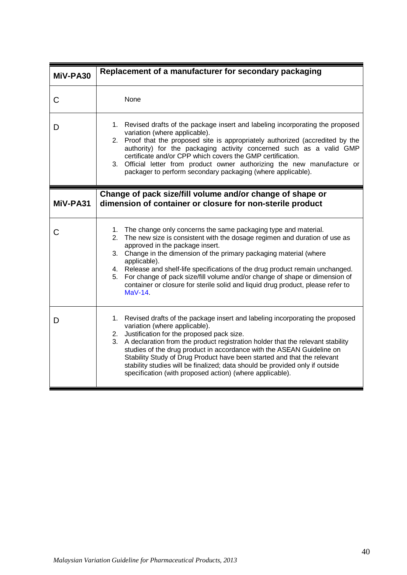<span id="page-43-1"></span><span id="page-43-0"></span>

| MiV-PA30 | Replacement of a manufacturer for secondary packaging                                                                                                                                                                                                                                                                                                                                                                                                                                                                                                    |
|----------|----------------------------------------------------------------------------------------------------------------------------------------------------------------------------------------------------------------------------------------------------------------------------------------------------------------------------------------------------------------------------------------------------------------------------------------------------------------------------------------------------------------------------------------------------------|
| C        | None                                                                                                                                                                                                                                                                                                                                                                                                                                                                                                                                                     |
| D        | 1. Revised drafts of the package insert and labeling incorporating the proposed<br>variation (where applicable).<br>2. Proof that the proposed site is appropriately authorized (accredited by the<br>authority) for the packaging activity concerned such as a valid GMP<br>certificate and/or CPP which covers the GMP certification.<br>Official letter from product owner authorizing the new manufacture or<br>3.<br>packager to perform secondary packaging (where applicable).                                                                    |
| MiV-PA31 | Change of pack size/fill volume and/or change of shape or<br>dimension of container or closure for non-sterile product                                                                                                                                                                                                                                                                                                                                                                                                                                   |
| С        | 1. The change only concerns the same packaging type and material.<br>2. The new size is consistent with the dosage regimen and duration of use as<br>approved in the package insert.<br>Change in the dimension of the primary packaging material (where<br>3.<br>applicable).<br>4. Release and shelf-life specifications of the drug product remain unchanged.<br>For change of pack size/fill volume and/or change of shape or dimension of<br>5.<br>container or closure for sterile solid and liquid drug product, please refer to<br>MaV-14.       |
| Ð        | 1. Revised drafts of the package insert and labeling incorporating the proposed<br>variation (where applicable).<br>Justification for the proposed pack size.<br>2.<br>3. A declaration from the product registration holder that the relevant stability<br>studies of the drug product in accordance with the ASEAN Guideline on<br>Stability Study of Drug Product have been started and that the relevant<br>stability studies will be finalized; data should be provided only if outside<br>specification (with proposed action) (where applicable). |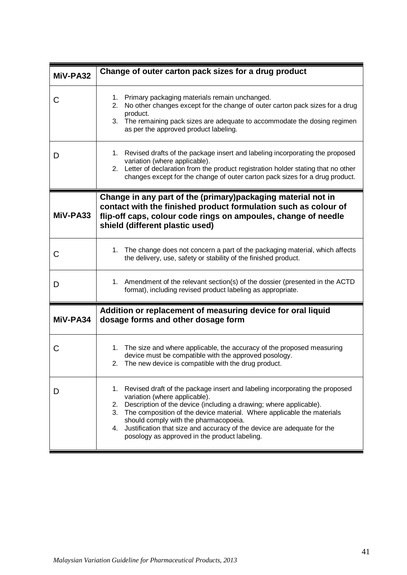<span id="page-44-2"></span><span id="page-44-1"></span><span id="page-44-0"></span>

| MiV-PA32 | Change of outer carton pack sizes for a drug product                                                                                                                                                                                                                                                                                                                                                                                                      |
|----------|-----------------------------------------------------------------------------------------------------------------------------------------------------------------------------------------------------------------------------------------------------------------------------------------------------------------------------------------------------------------------------------------------------------------------------------------------------------|
| С        | 1. Primary packaging materials remain unchanged.<br>No other changes except for the change of outer carton pack sizes for a drug<br>2.<br>product.<br>3. The remaining pack sizes are adequate to accommodate the dosing regimen<br>as per the approved product labeling.                                                                                                                                                                                 |
| I)       | Revised drafts of the package insert and labeling incorporating the proposed<br>1.<br>variation (where applicable).<br>2. Letter of declaration from the product registration holder stating that no other<br>changes except for the change of outer carton pack sizes for a drug product.                                                                                                                                                                |
| MiV-PA33 | Change in any part of the (primary)packaging material not in<br>contact with the finished product formulation such as colour of<br>flip-off caps, colour code rings on ampoules, change of needle<br>shield (different plastic used)                                                                                                                                                                                                                      |
| С        | 1. The change does not concern a part of the packaging material, which affects<br>the delivery, use, safety or stability of the finished product.                                                                                                                                                                                                                                                                                                         |
| D        | 1. Amendment of the relevant section(s) of the dossier (presented in the ACTD<br>format), including revised product labeling as appropriate.                                                                                                                                                                                                                                                                                                              |
| MiV-PA34 | Addition or replacement of measuring device for oral liquid<br>dosage forms and other dosage form                                                                                                                                                                                                                                                                                                                                                         |
| С        | 1. The size and where applicable, the accuracy of the proposed measuring<br>device must be compatible with the approved posology.<br>2. The new device is compatible with the drug product.                                                                                                                                                                                                                                                               |
| D        | Revised draft of the package insert and labeling incorporating the proposed<br>1.<br>variation (where applicable).<br>Description of the device (including a drawing; where applicable).<br>2.<br>The composition of the device material. Where applicable the materials<br>3.<br>should comply with the pharmacopoeia.<br>Justification that size and accuracy of the device are adequate for the<br>4.<br>posology as approved in the product labeling. |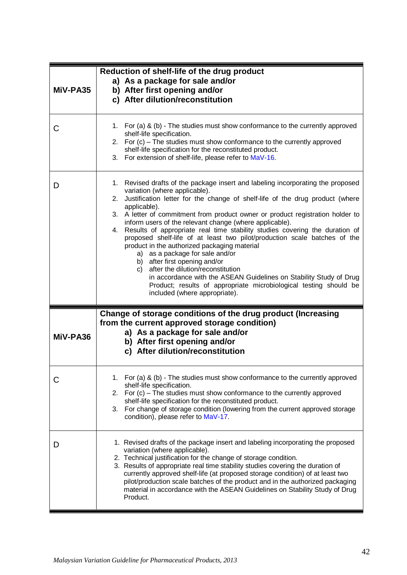<span id="page-45-1"></span><span id="page-45-0"></span>

| MiV-PA35 | Reduction of shelf-life of the drug product<br>a) As a package for sale and/or<br>b) After first opening and/or<br>c) After dilution/reconstitution                                                                                                                                                                                                                                                                                                                                                                                                                                                                                                                                                                                                                                                                                                                        |
|----------|----------------------------------------------------------------------------------------------------------------------------------------------------------------------------------------------------------------------------------------------------------------------------------------------------------------------------------------------------------------------------------------------------------------------------------------------------------------------------------------------------------------------------------------------------------------------------------------------------------------------------------------------------------------------------------------------------------------------------------------------------------------------------------------------------------------------------------------------------------------------------|
| C        | 1. For (a) & (b) - The studies must show conformance to the currently approved<br>shelf-life specification.<br>2. For (c) - The studies must show conformance to the currently approved<br>shelf-life specification for the reconstituted product.<br>3. For extension of shelf-life, please refer to MaV-16.                                                                                                                                                                                                                                                                                                                                                                                                                                                                                                                                                              |
| D        | 1. Revised drafts of the package insert and labeling incorporating the proposed<br>variation (where applicable).<br>2. Justification letter for the change of shelf-life of the drug product (where<br>applicable).<br>3. A letter of commitment from product owner or product registration holder to<br>inform users of the relevant change (where applicable).<br>4. Results of appropriate real time stability studies covering the duration of<br>proposed shelf-life of at least two pilot/production scale batches of the<br>product in the authorized packaging material<br>a) as a package for sale and/or<br>b) after first opening and/or<br>after the dilution/reconstitution<br>C)<br>in accordance with the ASEAN Guidelines on Stability Study of Drug<br>Product; results of appropriate microbiological testing should be<br>included (where appropriate). |
| MiV-PA36 | Change of storage conditions of the drug product (Increasing<br>from the current approved storage condition)<br>a) As a package for sale and/or<br>b) After first opening and/or<br>c) After dilution/reconstitution                                                                                                                                                                                                                                                                                                                                                                                                                                                                                                                                                                                                                                                       |
| C        | 1. For (a) & (b) - The studies must show conformance to the currently approved<br>shelf-life specification.<br>2. For (c) – The studies must show conformance to the currently approved<br>shelf-life specification for the reconstituted product.<br>3. For change of storage condition (lowering from the current approved storage<br>condition), please refer to MaV-17.                                                                                                                                                                                                                                                                                                                                                                                                                                                                                                |
| D        | 1. Revised drafts of the package insert and labeling incorporating the proposed<br>variation (where applicable).<br>2. Technical justification for the change of storage condition.<br>3. Results of appropriate real time stability studies covering the duration of<br>currently approved shelf-life (at proposed storage condition) of at least two<br>pilot/production scale batches of the product and in the authorized packaging<br>material in accordance with the ASEAN Guidelines on Stability Study of Drug<br>Product.                                                                                                                                                                                                                                                                                                                                         |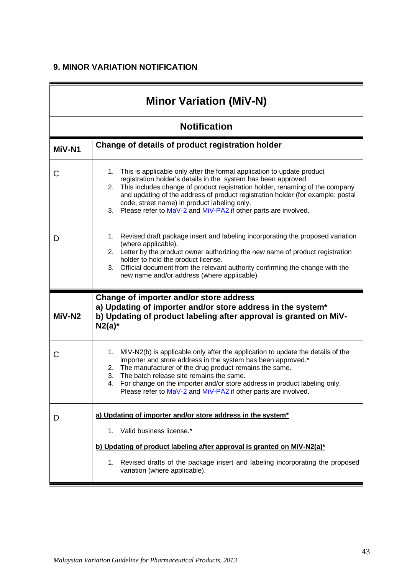# **9. MINOR VARIATION NOTIFICATION**

<span id="page-46-1"></span><span id="page-46-0"></span>

| <b>Minor Variation (MiV-N)</b> |                                                                                                                                                                                                                                                                                                                                                                                                                                              |
|--------------------------------|----------------------------------------------------------------------------------------------------------------------------------------------------------------------------------------------------------------------------------------------------------------------------------------------------------------------------------------------------------------------------------------------------------------------------------------------|
| <b>Notification</b>            |                                                                                                                                                                                                                                                                                                                                                                                                                                              |
| MiV-N1                         | Change of details of product registration holder                                                                                                                                                                                                                                                                                                                                                                                             |
| С                              | This is applicable only after the formal application to update product<br>1.<br>registration holder's details in the system has been approved.<br>2. This includes change of product registration holder, renaming of the company<br>and updating of the address of product registration holder (for example: postal<br>code, street name) in product labeling only.<br>Please refer to MaV-2 and MiV-PA2 if other parts are involved.<br>3. |
| D                              | Revised draft package insert and labeling incorporating the proposed variation<br>1.<br>(where applicable).<br>2. Letter by the product owner authorizing the new name of product registration<br>holder to hold the product license.<br>Official document from the relevant authority confirming the change with the<br>3.<br>new name and/or address (where applicable).                                                                   |
| MiV-N2                         | Change of importer and/or store address<br>a) Updating of importer and/or store address in the system*<br>b) Updating of product labeling after approval is granted on MiV-<br>$N2(a)^*$                                                                                                                                                                                                                                                     |
| С                              | MiV-N2(b) is applicable only after the application to update the details of the<br>1.<br>importer and store address in the system has been approved.*<br>2. The manufacturer of the drug product remains the same.<br>The batch release site remains the same.<br>3.<br>For change on the importer and/or store address in product labeling only.<br>4.<br>Please refer to MaV-2 and MiV-PA2 if other parts are involved.                    |
| D                              | a) Updating of importer and/or store address in the system*<br>1. Valid business license.*<br>b) Updating of product labeling after approval is granted on MiV-N2(a)*                                                                                                                                                                                                                                                                        |
|                                | Revised drafts of the package insert and labeling incorporating the proposed<br>1.<br>variation (where applicable).                                                                                                                                                                                                                                                                                                                          |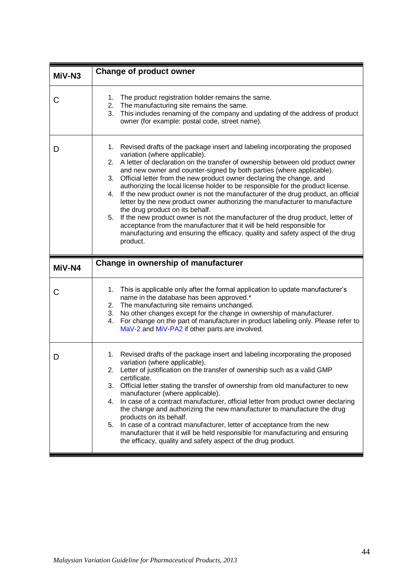<span id="page-47-1"></span><span id="page-47-0"></span>

| MiV-N3 | <b>Change of product owner</b>                                                                                                                                                                                                                                                                                                                                                                                                                                                                                                                                                                                                                                                                                                                                                                                                                                                                                              |
|--------|-----------------------------------------------------------------------------------------------------------------------------------------------------------------------------------------------------------------------------------------------------------------------------------------------------------------------------------------------------------------------------------------------------------------------------------------------------------------------------------------------------------------------------------------------------------------------------------------------------------------------------------------------------------------------------------------------------------------------------------------------------------------------------------------------------------------------------------------------------------------------------------------------------------------------------|
| С      | The product registration holder remains the same.<br>1.<br>2. The manufacturing site remains the same.<br>This includes renaming of the company and updating of the address of product<br>3.<br>owner (for example: postal code, street name).                                                                                                                                                                                                                                                                                                                                                                                                                                                                                                                                                                                                                                                                              |
| D      | 1. Revised drafts of the package insert and labeling incorporating the proposed<br>variation (where applicable).<br>2. A letter of declaration on the transfer of ownership between old product owner<br>and new owner and counter-signed by both parties (where applicable).<br>Official letter from the new product owner declaring the change, and<br>3.<br>authorizing the local license holder to be responsible for the product license.<br>If the new product owner is not the manufacturer of the drug product, an official<br>4.<br>letter by the new product owner authorizing the manufacturer to manufacture<br>the drug product on its behalf.<br>If the new product owner is not the manufacturer of the drug product, letter of<br>5.<br>acceptance from the manufacturer that it will be held responsible for<br>manufacturing and ensuring the efficacy, quality and safety aspect of the drug<br>product. |
| MiV-N4 | Change in ownership of manufacturer                                                                                                                                                                                                                                                                                                                                                                                                                                                                                                                                                                                                                                                                                                                                                                                                                                                                                         |
| С      | This is applicable only after the formal application to update manufacturer's<br>1.<br>name in the database has been approved.*<br>2. The manufacturing site remains unchanged.<br>3. No other changes except for the change in ownership of manufacturer.<br>For change on the part of manufacturer in product labeling only. Please refer to<br>4.<br>MaV-2 and MiV-PA2 if other parts are involved.                                                                                                                                                                                                                                                                                                                                                                                                                                                                                                                      |
| D      | Revised drafts of the package insert and labeling incorporating the proposed<br>1.<br>variation (where applicable).<br>Letter of justification on the transfer of ownership such as a valid GMP<br>certificate.<br>Official letter stating the transfer of ownership from old manufacturer to new<br>3.<br>manufacturer (where applicable).<br>In case of a contract manufacturer, official letter from product owner declaring<br>4.<br>the change and authorizing the new manufacturer to manufacture the drug<br>products on its behalf.<br>In case of a contract manufacturer, letter of acceptance from the new<br>5.<br>manufacturer that it will be held responsible for manufacturing and ensuring<br>the efficacy, quality and safety aspect of the drug product.                                                                                                                                                  |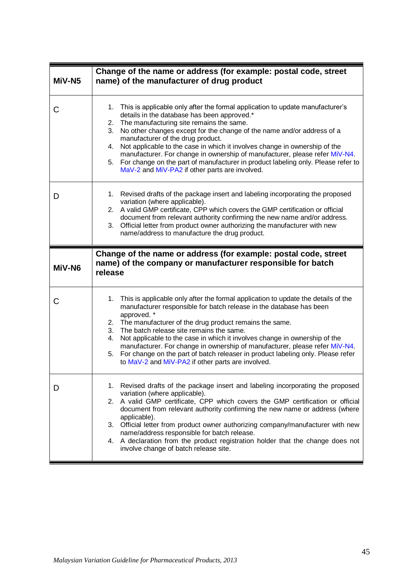<span id="page-48-2"></span><span id="page-48-1"></span><span id="page-48-0"></span>

| MiV-N <sub>5</sub> | Change of the name or address (for example: postal code, street<br>name) of the manufacturer of drug product                                                                                                                                                                                                                                                                                                                                                                                                                                                                                                          |
|--------------------|-----------------------------------------------------------------------------------------------------------------------------------------------------------------------------------------------------------------------------------------------------------------------------------------------------------------------------------------------------------------------------------------------------------------------------------------------------------------------------------------------------------------------------------------------------------------------------------------------------------------------|
| C                  | This is applicable only after the formal application to update manufacturer's<br>1.<br>details in the database has been approved.*<br>2. The manufacturing site remains the same.<br>No other changes except for the change of the name and/or address of a<br>3.<br>manufacturer of the drug product.<br>Not applicable to the case in which it involves change in ownership of the<br>4.<br>manufacturer. For change in ownership of manufacturer, please refer MiV-N4.<br>For change on the part of manufacturer in product labeling only. Please refer to<br>5.<br>MaV-2 and MiV-PA2 if other parts are involved. |
| D                  | 1. Revised drafts of the package insert and labeling incorporating the proposed<br>variation (where applicable).<br>2. A valid GMP certificate, CPP which covers the GMP certification or official<br>document from relevant authority confirming the new name and/or address.<br>Official letter from product owner authorizing the manufacturer with new<br>3.<br>name/address to manufacture the drug product.                                                                                                                                                                                                     |
| MiV-N6             | Change of the name or address (for example: postal code, street<br>name) of the company or manufacturer responsible for batch                                                                                                                                                                                                                                                                                                                                                                                                                                                                                         |
|                    | release                                                                                                                                                                                                                                                                                                                                                                                                                                                                                                                                                                                                               |
| С                  | This is applicable only after the formal application to update the details of the<br>1.<br>manufacturer responsible for batch release in the database has been<br>approved. *<br>2. The manufacturer of the drug product remains the same.<br>3. The batch release site remains the same.<br>Not applicable to the case in which it involves change in ownership of the<br>4.<br>manufacturer. For change in ownership of manufacturer, please refer MiV-N4.<br>For change on the part of batch releaser in product labeling only. Please refer<br>5.<br>to MaV-2 and MiV-PA2 if other parts are involved.            |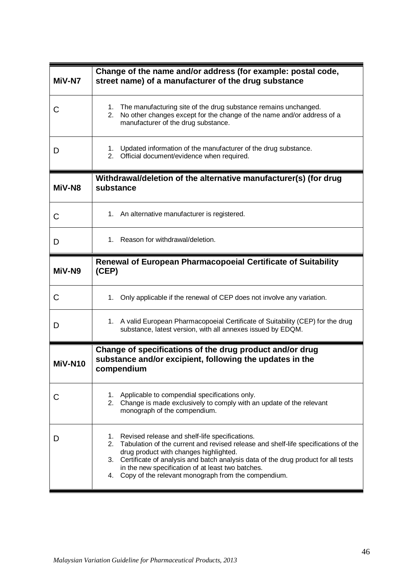<span id="page-49-2"></span><span id="page-49-1"></span><span id="page-49-0"></span>

| MiV-N7  | Change of the name and/or address (for example: postal code,<br>street name) of a manufacturer of the drug substance                                                                                                                                                                                                                                                                                                |
|---------|---------------------------------------------------------------------------------------------------------------------------------------------------------------------------------------------------------------------------------------------------------------------------------------------------------------------------------------------------------------------------------------------------------------------|
| C       | The manufacturing site of the drug substance remains unchanged.<br>1.<br>No other changes except for the change of the name and/or address of a<br>2.<br>manufacturer of the drug substance.                                                                                                                                                                                                                        |
| D       | Updated information of the manufacturer of the drug substance.<br>1.<br>Official document/evidence when required.<br>2.                                                                                                                                                                                                                                                                                             |
| MiV-N8  | Withdrawal/deletion of the alternative manufacturer(s) (for drug<br>substance                                                                                                                                                                                                                                                                                                                                       |
| С       | 1. An alternative manufacturer is registered.                                                                                                                                                                                                                                                                                                                                                                       |
| D       | Reason for withdrawal/deletion.<br>1.                                                                                                                                                                                                                                                                                                                                                                               |
| MiV-N9  | <b>Renewal of European Pharmacopoeial Certificate of Suitability</b><br>(CEP)                                                                                                                                                                                                                                                                                                                                       |
| C       | Only applicable if the renewal of CEP does not involve any variation.<br>1.                                                                                                                                                                                                                                                                                                                                         |
| D       | 1. A valid European Pharmacopoeial Certificate of Suitability (CEP) for the drug<br>substance, latest version, with all annexes issued by EDQM.                                                                                                                                                                                                                                                                     |
| MiV-N10 | Change of specifications of the drug product and/or drug<br>substance and/or excipient, following the updates in the<br>compendium                                                                                                                                                                                                                                                                                  |
|         | Applicable to compendial specifications only.<br>1.<br>2. Change is made exclusively to comply with an update of the relevant<br>monograph of the compendium.                                                                                                                                                                                                                                                       |
| D       | Revised release and shelf-life specifications.<br>1.<br>Tabulation of the current and revised release and shelf-life specifications of the<br>2 <sub>1</sub><br>drug product with changes highlighted.<br>Certificate of analysis and batch analysis data of the drug product for all tests<br>3.<br>in the new specification of at least two batches.<br>Copy of the relevant monograph from the compendium.<br>4. |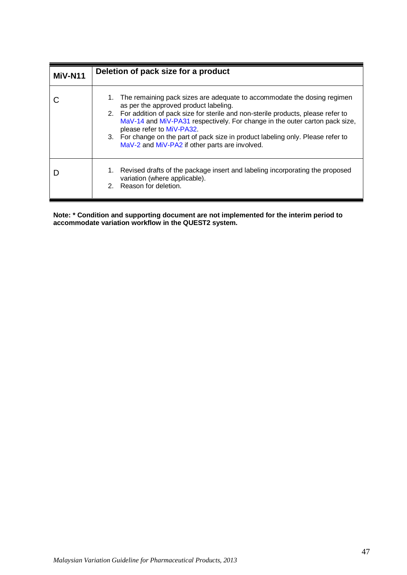<span id="page-50-0"></span>

| MiV-N11 | Deletion of pack size for a product                                                                                                                                                                                                                                                                                                                                                                                                                         |
|---------|-------------------------------------------------------------------------------------------------------------------------------------------------------------------------------------------------------------------------------------------------------------------------------------------------------------------------------------------------------------------------------------------------------------------------------------------------------------|
|         | 1. The remaining pack sizes are adequate to accommodate the dosing regimen<br>as per the approved product labeling.<br>2. For addition of pack size for sterile and non-sterile products, please refer to<br>MaV-14 and MiV-PA31 respectively. For change in the outer carton pack size,<br>please refer to MiV-PA32.<br>3. For change on the part of pack size in product labeling only. Please refer to<br>MaV-2 and MiV-PA2 if other parts are involved. |
|         | Revised drafts of the package insert and labeling incorporating the proposed<br>1.<br>variation (where applicable).<br>Reason for deletion.<br>$2_{-}$                                                                                                                                                                                                                                                                                                      |

**Note: \* Condition and supporting document are not implemented for the interim period to accommodate variation workflow in the QUEST2 system.**